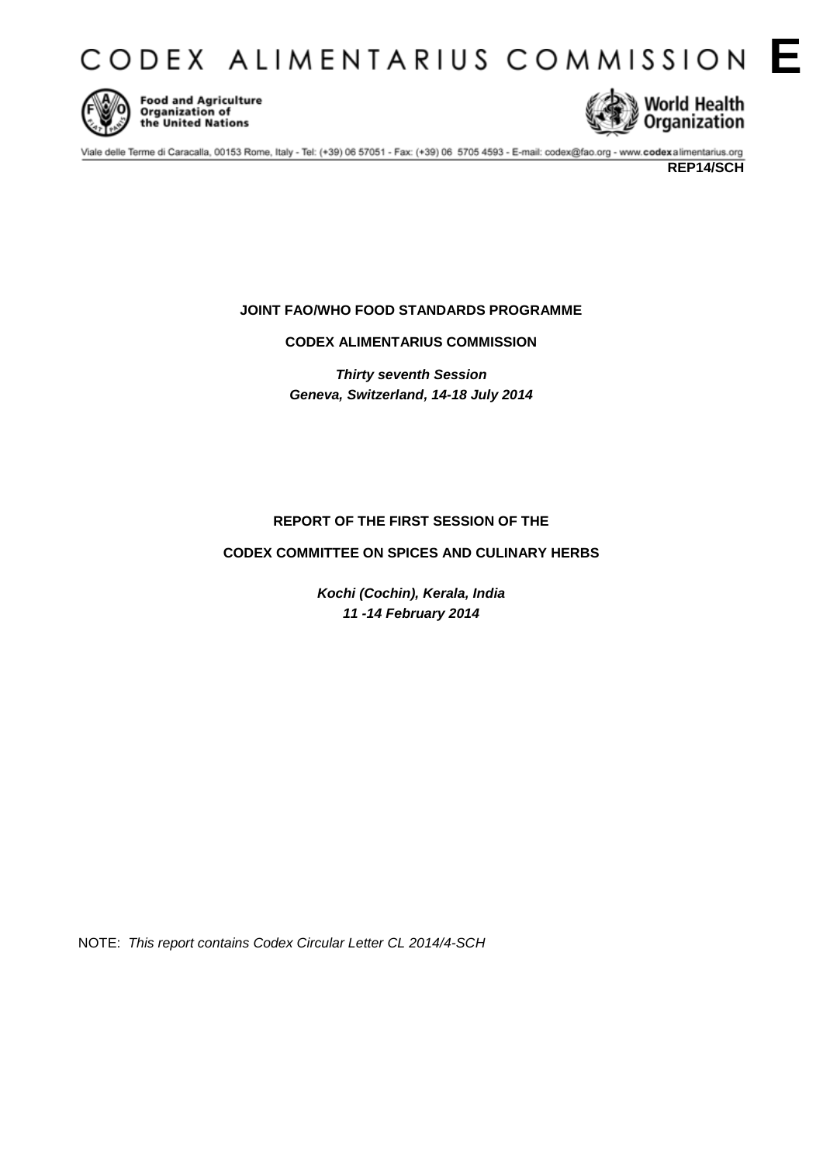CODEX ALIMENTARIUS COMMISSION E



Food and Agriculture<br>Organization of<br>the United Nations



Viale delle Terme di Caracalla, 00153 Rome, Italy - Tel: (+39) 06 57051 - Fax: (+39) 06 5705 4593 - E-mail: codex@fao.org - www.codexalimentarius.org

# **JOINT FAO/WHO FOOD STANDARDS PROGRAMME**

**CODEX ALIMENTARIUS COMMISSION**

*Thirty seventh Session Geneva, Switzerland, 14-18 July 2014*

# **REPORT OF THE FIRST SESSION OF THE**

# **CODEX COMMITTEE ON SPICES AND CULINARY HERBS**

*Kochi (Cochin), Kerala, India 11 -14 February 2014* 

NOTE: *This report contains Codex Circular Letter CL 2014/4-SCH*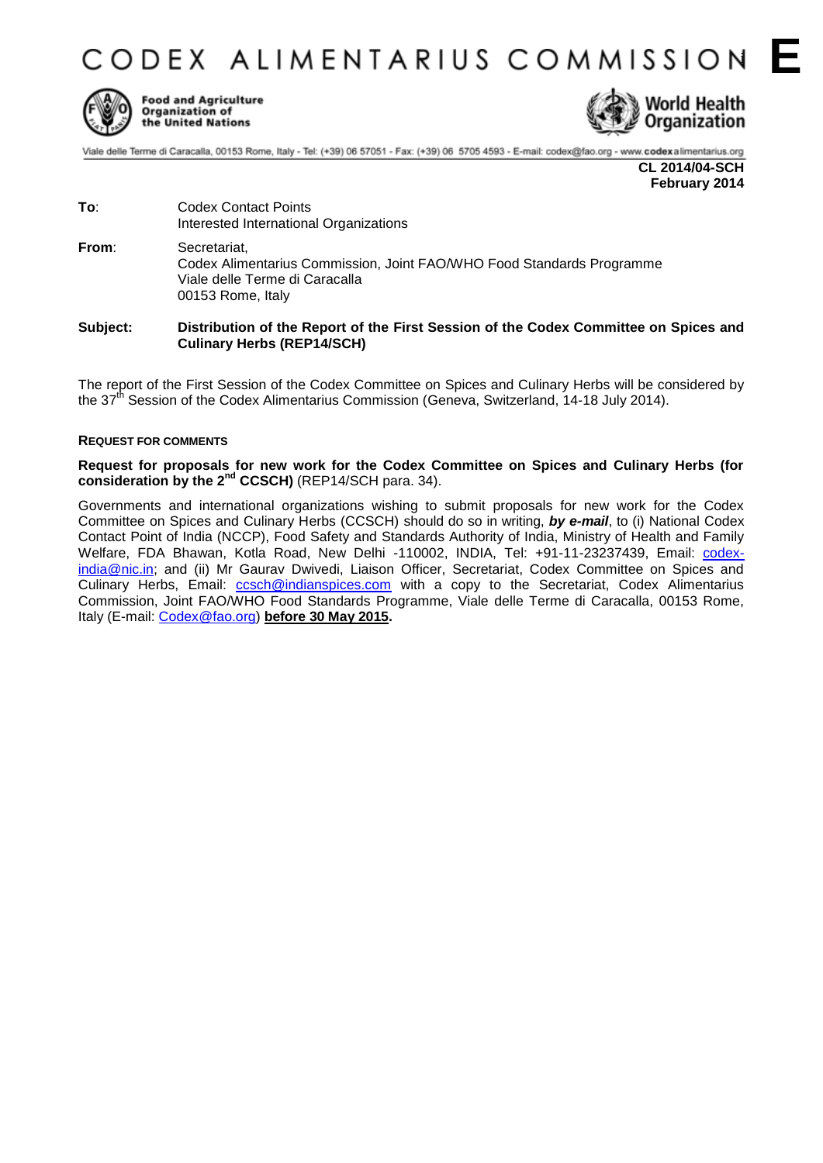CODEX ALIMENTARIUS COMMISSION E



**Food and Agriculture** Organization of the United Nations



Viale delle Terme di Caracalla, 00153 Rome, Italy - Tel: (+39) 06 57051 - Fax: (+39) 06 5705 4593 - E-mail: codex@fao.org - www.codexalimentarius.org

**CL 2014/04-SCH February 2014**

**To**: Codex Contact Points Interested International Organizations **From**: Secretariat, Codex Alimentarius Commission, Joint FAO/WHO Food Standards Programme Viale delle Terme di Caracalla 00153 Rome, Italy

## **Subject: Distribution of the Report of the First Session of the Codex Committee on Spices and Culinary Herbs (REP14/SCH)**

The report of the First Session of the Codex Committee on Spices and Culinary Herbs will be considered by the 37<sup>th</sup> Session of the Codex Alimentarius Commission (Geneva, Switzerland, 14-18 July 2014).

### **REQUEST FOR COMMENTS**

**Request for proposals for new work for the Codex Committee on Spices and Culinary Herbs (for consideration by the 2nd CCSCH)** (REP14/SCH para. 34).

Governments and international organizations wishing to submit proposals for new work for the Codex Committee on Spices and Culinary Herbs (CCSCH) should do so in writing, *by e-mail*, to (i) National Codex Contact Point of India (NCCP), Food Safety and Standards Authority of India, Ministry of Health and Family Welfare, FDA Bhawan, Kotla Road, New Delhi -110002, INDIA, Tel: +91-11-23237439, Email: [codex](mailto:codex-india@nic.in)[india@nic.in;](mailto:codex-india@nic.in) and (ii) Mr Gaurav Dwivedi, Liaison Officer, Secretariat, Codex Committee on Spices and Culinary Herbs, Email: [ccsch@indianspices.com](mailto:ccsch@indianspices.com) with a copy to the Secretariat, Codex Alimentarius Commission, Joint FAO/WHO Food Standards Programme, Viale delle Terme di Caracalla, 00153 Rome, Italy (E-mail: [Codex@fao.org\)](mailto:Codex@fao.org) **before 30 May 2015.**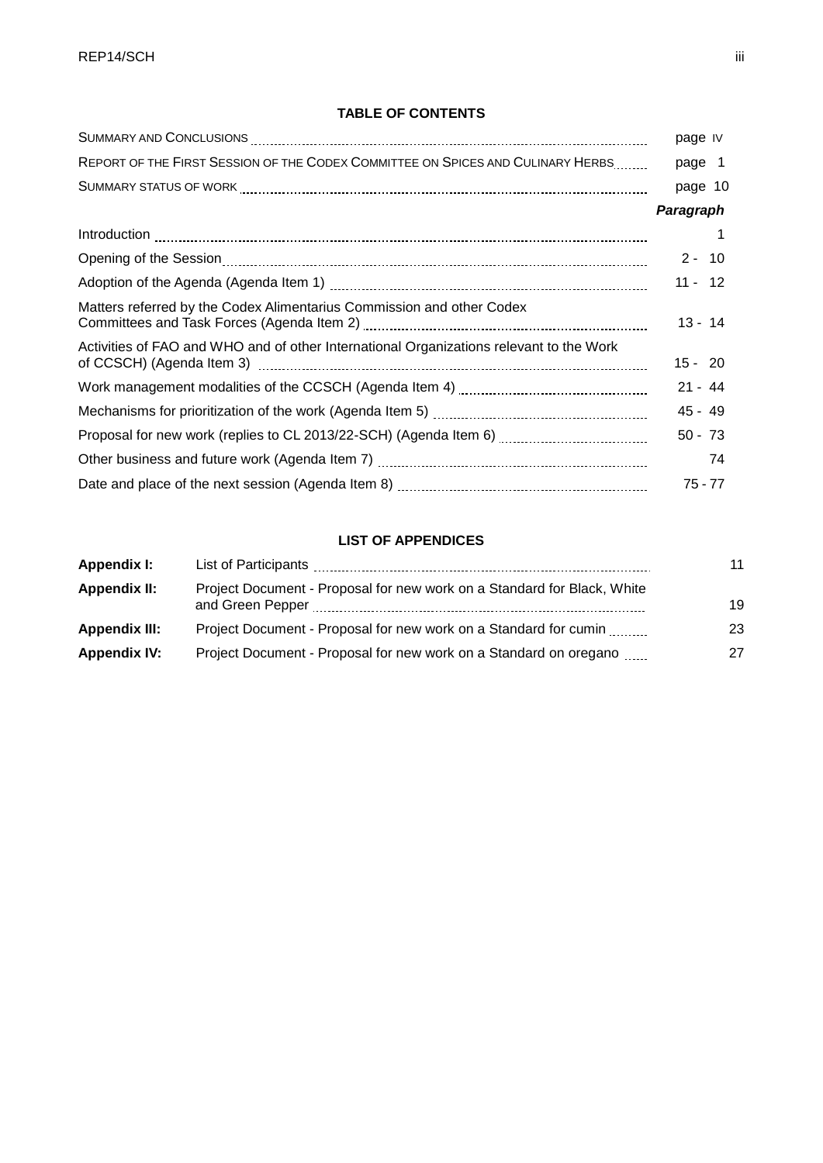# **TABLE OF CONTENTS**

|                                                                                                                                                | page IV   |
|------------------------------------------------------------------------------------------------------------------------------------------------|-----------|
| REPORT OF THE FIRST SESSION OF THE CODEX COMMITTEE ON SPICES AND CULINARY HERBS                                                                | page 1    |
|                                                                                                                                                | page 10   |
|                                                                                                                                                | Paragraph |
|                                                                                                                                                |           |
|                                                                                                                                                | $2 - 10$  |
|                                                                                                                                                | $11 - 12$ |
| Matters referred by the Codex Alimentarius Commission and other Codex                                                                          | $13 - 14$ |
| Activities of FAO and WHO and of other International Organizations relevant to the Work                                                        | $15 - 20$ |
|                                                                                                                                                | $21 - 44$ |
|                                                                                                                                                | $45 - 49$ |
| Proposal for new work (replies to CL 2013/22-SCH) (Agenda Item 6) [11, 2013] Proposal for new work (replies to CL 2013/22-SCH) (Agenda Item 6) | $50 - 73$ |
|                                                                                                                                                | 74        |
|                                                                                                                                                | $75 - 77$ |

# **LIST OF APPENDICES**

| Appendix I:          |                                                                                             | 11 |
|----------------------|---------------------------------------------------------------------------------------------|----|
| Appendix II:         | Project Document - Proposal for new work on a Standard for Black, White<br>and Green Pepper | 19 |
| <b>Appendix III:</b> | Project Document - Proposal for new work on a Standard for cumin                            | 23 |
| Appendix IV:         | Project Document - Proposal for new work on a Standard on oregano                           | 27 |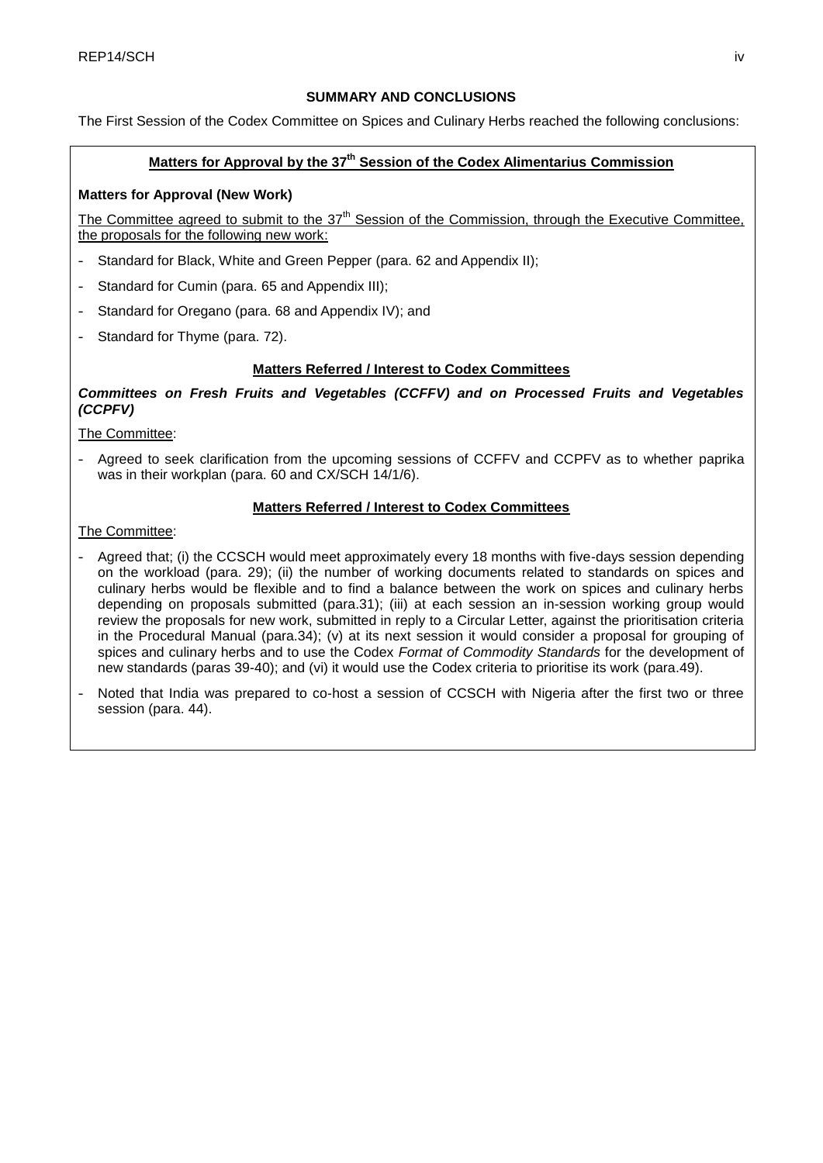# **SUMMARY AND CONCLUSIONS**

The First Session of the Codex Committee on Spices and Culinary Herbs reached the following conclusions:

# **Matters for Approval by the 37 th Session of the Codex Alimentarius Commission**

# **Matters for Approval (New Work)**

The Committee agreed to submit to the  $37<sup>th</sup>$  Session of the Commission, through the Executive Committee, the proposals for the following new work:

- Standard for Black, White and Green Pepper (para. 62 and Appendix II);
- Standard for Cumin (para. 65 and Appendix III);
- Standard for Oregano (para, 68 and Appendix IV); and
- Standard for Thyme (para. 72).

## **Matters Referred / Interest to Codex Committees**

*Committees on Fresh Fruits and Vegetables (CCFFV) and on Processed Fruits and Vegetables (CCPFV)* 

The Committee:

Agreed to seek clarification from the upcoming sessions of CCFFV and CCPFV as to whether paprika was in their workplan (para. 60 and CX/SCH 14/1/6).

# **Matters Referred / Interest to Codex Committees**

The Committee:

- Agreed that; (i) the CCSCH would meet approximately every 18 months with five-days session depending on the workload (para. 29); (ii) the number of working documents related to standards on spices and culinary herbs would be flexible and to find a balance between the work on spices and culinary herbs depending on proposals submitted (para.31); (iii) at each session an in-session working group would review the proposals for new work, submitted in reply to a Circular Letter, against the prioritisation criteria in the Procedural Manual (para.34); (v) at its next session it would consider a proposal for grouping of spices and culinary herbs and to use the Codex *Format of Commodity Standards* for the development of new standards (paras 39-40); and (vi) it would use the Codex criteria to prioritise its work (para.49).
- Noted that India was prepared to co-host a session of CCSCH with Nigeria after the first two or three session (para. 44).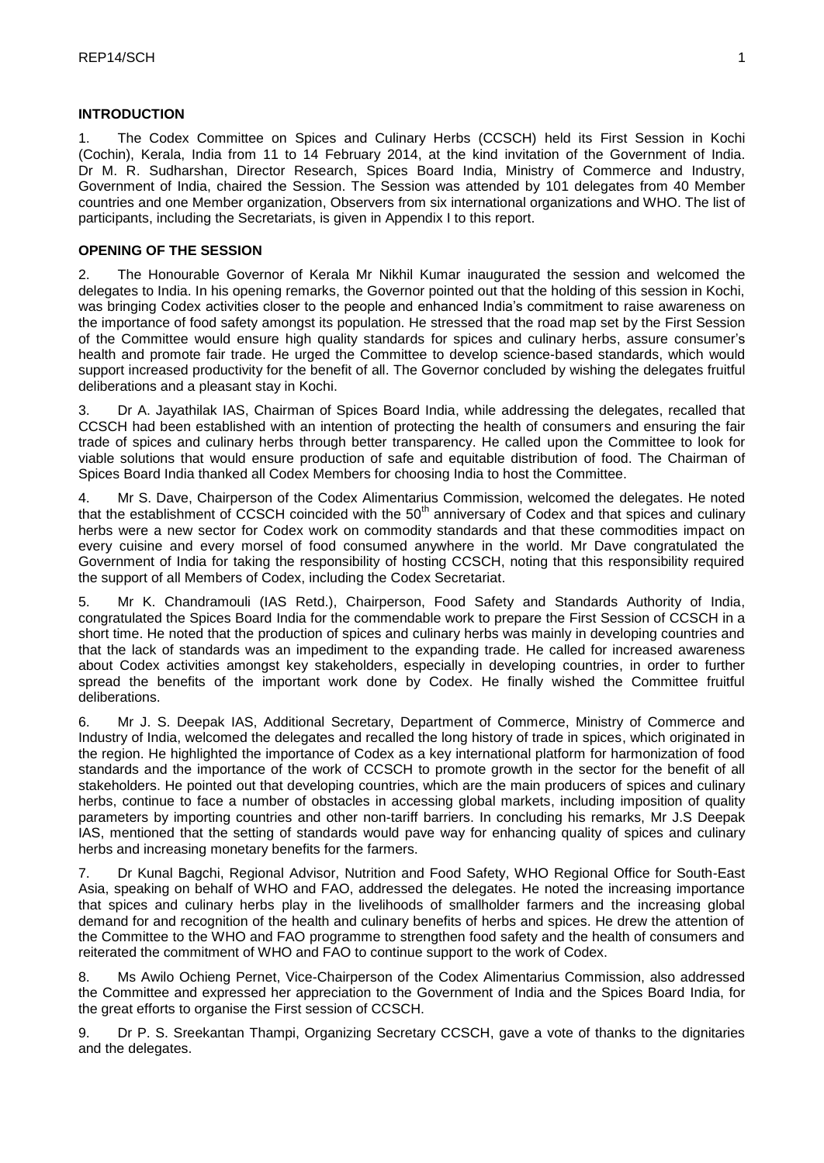## **INTRODUCTION**

1. The Codex Committee on Spices and Culinary Herbs (CCSCH) held its First Session in Kochi (Cochin), Kerala, India from 11 to 14 February 2014, at the kind invitation of the Government of India. Dr M. R. Sudharshan, Director Research, Spices Board India, Ministry of Commerce and Industry, Government of India, chaired the Session. The Session was attended by 101 delegates from 40 Member countries and one Member organization, Observers from six international organizations and WHO. The list of participants, including the Secretariats, is given in Appendix I to this report.

## **OPENING OF THE SESSION**

2. The Honourable Governor of Kerala Mr Nikhil Kumar inaugurated the session and welcomed the delegates to India. In his opening remarks, the Governor pointed out that the holding of this session in Kochi, was bringing Codex activities closer to the people and enhanced India's commitment to raise awareness on the importance of food safety amongst its population. He stressed that the road map set by the First Session of the Committee would ensure high quality standards for spices and culinary herbs, assure consumer's health and promote fair trade. He urged the Committee to develop science-based standards, which would support increased productivity for the benefit of all. The Governor concluded by wishing the delegates fruitful deliberations and a pleasant stay in Kochi.

3. Dr A. Jayathilak IAS, Chairman of Spices Board India, while addressing the delegates, recalled that CCSCH had been established with an intention of protecting the health of consumers and ensuring the fair trade of spices and culinary herbs through better transparency. He called upon the Committee to look for viable solutions that would ensure production of safe and equitable distribution of food. The Chairman of Spices Board India thanked all Codex Members for choosing India to host the Committee.

4. Mr S. Dave, Chairperson of the Codex Alimentarius Commission, welcomed the delegates. He noted that the establishment of CCSCH coincided with the  $50<sup>th</sup>$  anniversary of Codex and that spices and culinary herbs were a new sector for Codex work on commodity standards and that these commodities impact on every cuisine and every morsel of food consumed anywhere in the world. Mr Dave congratulated the Government of India for taking the responsibility of hosting CCSCH, noting that this responsibility required the support of all Members of Codex, including the Codex Secretariat.

5. Mr K. Chandramouli (IAS Retd.), Chairperson, Food Safety and Standards Authority of India, congratulated the Spices Board India for the commendable work to prepare the First Session of CCSCH in a short time. He noted that the production of spices and culinary herbs was mainly in developing countries and that the lack of standards was an impediment to the expanding trade. He called for increased awareness about Codex activities amongst key stakeholders, especially in developing countries, in order to further spread the benefits of the important work done by Codex. He finally wished the Committee fruitful deliberations.

6. Mr J. S. Deepak IAS, Additional Secretary, Department of Commerce, Ministry of Commerce and Industry of India, welcomed the delegates and recalled the long history of trade in spices, which originated in the region. He highlighted the importance of Codex as a key international platform for harmonization of food standards and the importance of the work of CCSCH to promote growth in the sector for the benefit of all stakeholders. He pointed out that developing countries, which are the main producers of spices and culinary herbs, continue to face a number of obstacles in accessing global markets, including imposition of quality parameters by importing countries and other non-tariff barriers. In concluding his remarks, Mr J.S Deepak IAS, mentioned that the setting of standards would pave way for enhancing quality of spices and culinary herbs and increasing monetary benefits for the farmers.

7. Dr Kunal Bagchi, Regional Advisor, Nutrition and Food Safety, WHO Regional Office for South-East Asia, speaking on behalf of WHO and FAO, addressed the delegates. He noted the increasing importance that spices and culinary herbs play in the livelihoods of smallholder farmers and the increasing global demand for and recognition of the health and culinary benefits of herbs and spices. He drew the attention of the Committee to the WHO and FAO programme to strengthen food safety and the health of consumers and reiterated the commitment of WHO and FAO to continue support to the work of Codex.

8. Ms Awilo Ochieng Pernet, Vice-Chairperson of the Codex Alimentarius Commission, also addressed the Committee and expressed her appreciation to the Government of India and the Spices Board India, for the great efforts to organise the First session of CCSCH.

9. Dr P. S. Sreekantan Thampi, Organizing Secretary CCSCH, gave a vote of thanks to the dignitaries and the delegates.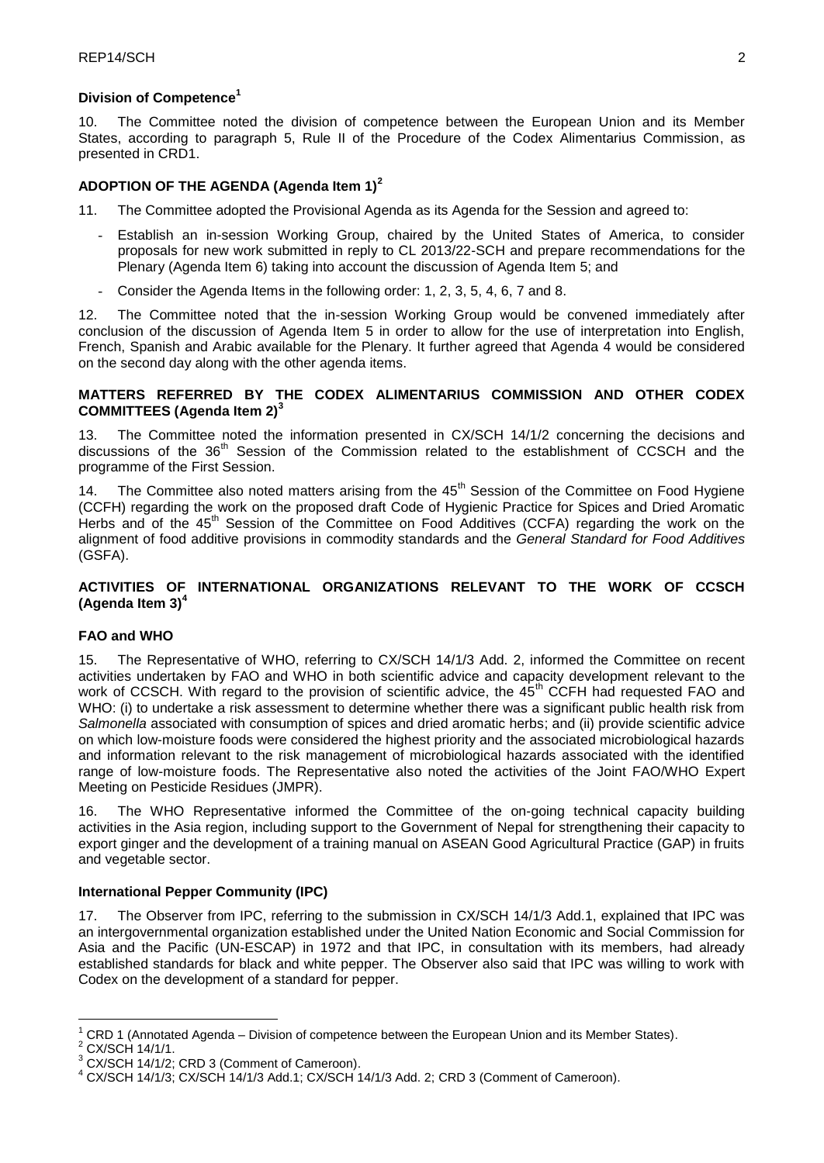## **Division of Competence<sup>1</sup>**

10. The Committee noted the division of competence between the European Union and its Member States, according to paragraph 5, Rule II of the Procedure of the Codex Alimentarius Commission, as presented in CRD1.

## **ADOPTION OF THE AGENDA (Agenda Item 1)<sup>2</sup>**

- 11. The Committee adopted the Provisional Agenda as its Agenda for the Session and agreed to:
	- Establish an in-session Working Group, chaired by the United States of America, to consider proposals for new work submitted in reply to CL 2013/22-SCH and prepare recommendations for the Plenary (Agenda Item 6) taking into account the discussion of Agenda Item 5; and
	- Consider the Agenda Items in the following order: 1, 2, 3, 5, 4, 6, 7 and 8.

12. The Committee noted that the in-session Working Group would be convened immediately after conclusion of the discussion of Agenda Item 5 in order to allow for the use of interpretation into English, French, Spanish and Arabic available for the Plenary. It further agreed that Agenda 4 would be considered on the second day along with the other agenda items.

## **MATTERS REFERRED BY THE CODEX ALIMENTARIUS COMMISSION AND OTHER CODEX COMMITTEES (Agenda Item 2)<sup>3</sup>**

13. The Committee noted the information presented in CX/SCH 14/1/2 concerning the decisions and discussions of the  $36<sup>th</sup>$  Session of the Commission related to the establishment of CCSCH and the programme of the First Session.

14. The Committee also noted matters arising from the  $45<sup>th</sup>$  Session of the Committee on Food Hygiene (CCFH) regarding the work on the proposed draft Code of Hygienic Practice for Spices and Dried Aromatic Herbs and of the 45<sup>th</sup> Session of the Committee on Food Additives (CCFA) regarding the work on the alignment of food additive provisions in commodity standards and the *General Standard for Food Additives* (GSFA).

## **ACTIVITIES OF INTERNATIONAL ORGANIZATIONS RELEVANT TO THE WORK OF CCSCH (Agenda Item 3)<sup>4</sup>**

# **FAO and WHO**

15. The Representative of WHO, referring to CX/SCH 14/1/3 Add. 2, informed the Committee on recent activities undertaken by FAO and WHO in both scientific advice and capacity development relevant to the work of CCSCH. With regard to the provision of scientific advice, the 45<sup>th</sup> CCFH had requested FAO and WHO: (i) to undertake a risk assessment to determine whether there was a significant public health risk from *Salmonella* associated with consumption of spices and dried aromatic herbs; and (ii) provide scientific advice on which low-moisture foods were considered the highest priority and the associated microbiological hazards and information relevant to the risk management of microbiological hazards associated with the identified range of low-moisture foods. The Representative also noted the activities of the Joint FAO/WHO Expert Meeting on Pesticide Residues (JMPR).

16. The WHO Representative informed the Committee of the on-going technical capacity building activities in the Asia region, including support to the Government of Nepal for strengthening their capacity to export ginger and the development of a training manual on ASEAN Good Agricultural Practice (GAP) in fruits and vegetable sector.

# **International Pepper Community (IPC)**

17. The Observer from IPC, referring to the submission in CX/SCH 14/1/3 Add.1, explained that IPC was an intergovernmental organization established under the United Nation Economic and Social Commission for Asia and the Pacific (UN-ESCAP) in 1972 and that IPC, in consultation with its members, had already established standards for black and white pepper. The Observer also said that IPC was willing to work with Codex on the development of a standard for pepper.

<u>.</u>

<sup>1</sup> CRD 1 (Annotated Agenda – Division of competence between the European Union and its Member States).

<sup>&</sup>lt;sup>2</sup> CX/SCH 14/1/1.

<sup>3</sup> CX/SCH 14/1/2; CRD 3 (Comment of Cameroon).

<sup>4</sup> CX/SCH 14/1/3; CX/SCH 14/1/3 Add.1; CX/SCH 14/1/3 Add. 2; CRD 3 (Comment of Cameroon).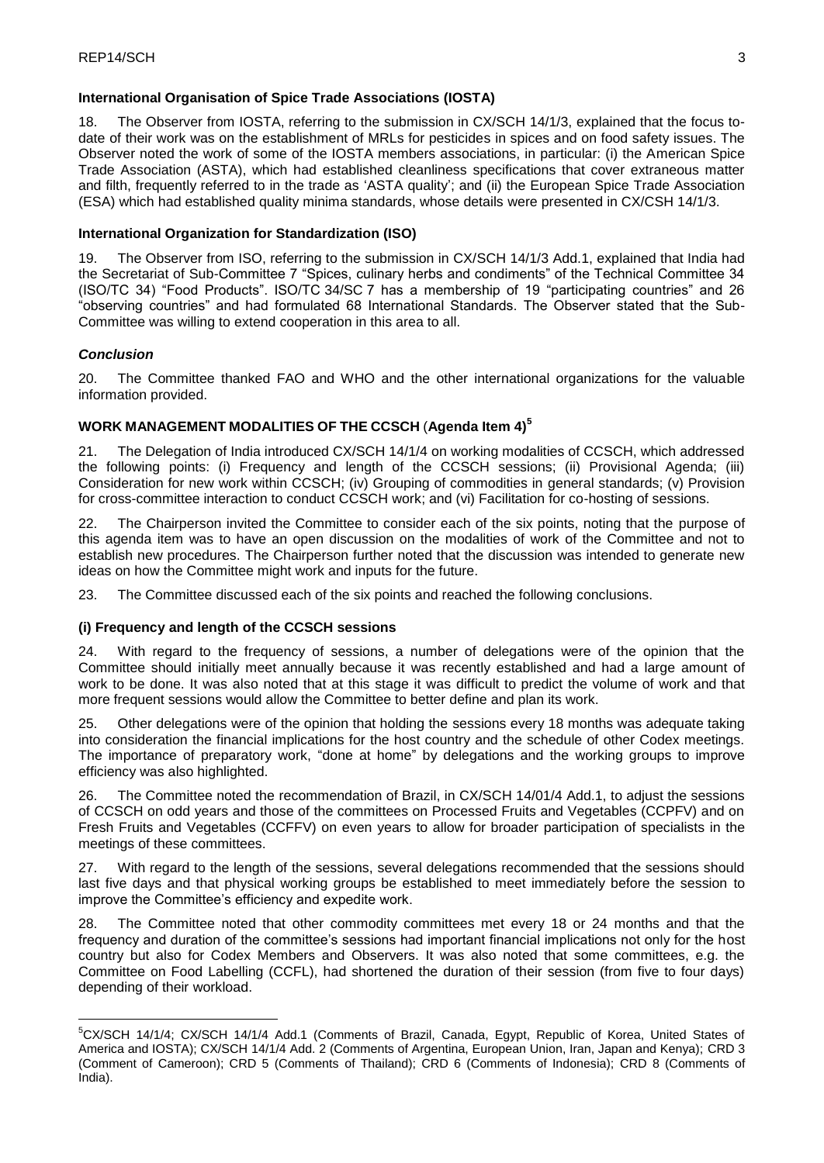# **International Organisation of Spice Trade Associations (IOSTA)**

18. The Observer from IOSTA, referring to the submission in CX/SCH 14/1/3, explained that the focus todate of their work was on the establishment of MRLs for pesticides in spices and on food safety issues. The Observer noted the work of some of the IOSTA members associations, in particular: (i) the American Spice Trade Association (ASTA), which had established cleanliness specifications that cover extraneous matter and filth, frequently referred to in the trade as 'ASTA quality'; and (ii) the European Spice Trade Association (ESA) which had established quality minima standards, whose details were presented in CX/CSH 14/1/3.

## **International Organization for Standardization (ISO)**

19. The Observer from ISO, referring to the submission in CX/SCH 14/1/3 Add.1, explained that India had the Secretariat of Sub-Committee 7 "Spices, culinary herbs and condiments" of the Technical Committee 34 (ISO/TC 34) "Food Products". ISO/TC 34/SC 7 has a membership of 19 "participating countries" and 26 "observing countries" and had formulated 68 International Standards. The Observer stated that the Sub-Committee was willing to extend cooperation in this area to all.

# *Conclusion*

<u>.</u>

20. The Committee thanked FAO and WHO and the other international organizations for the valuable information provided.

# **WORK MANAGEMENT MODALITIES OF THE CCSCH** (**Agenda Item 4)<sup>5</sup>**

21. The Delegation of India introduced CX/SCH 14/1/4 on working modalities of CCSCH, which addressed the following points: (i) Frequency and length of the CCSCH sessions; (ii) Provisional Agenda; (iii) Consideration for new work within CCSCH; (iv) Grouping of commodities in general standards; (v) Provision for cross-committee interaction to conduct CCSCH work; and (vi) Facilitation for co-hosting of sessions.

22. The Chairperson invited the Committee to consider each of the six points, noting that the purpose of this agenda item was to have an open discussion on the modalities of work of the Committee and not to establish new procedures. The Chairperson further noted that the discussion was intended to generate new ideas on how the Committee might work and inputs for the future.

23. The Committee discussed each of the six points and reached the following conclusions.

### **(i) Frequency and length of the CCSCH sessions**

24. With regard to the frequency of sessions, a number of delegations were of the opinion that the Committee should initially meet annually because it was recently established and had a large amount of work to be done. It was also noted that at this stage it was difficult to predict the volume of work and that more frequent sessions would allow the Committee to better define and plan its work.

25. Other delegations were of the opinion that holding the sessions every 18 months was adequate taking into consideration the financial implications for the host country and the schedule of other Codex meetings. The importance of preparatory work, "done at home" by delegations and the working groups to improve efficiency was also highlighted.

26. The Committee noted the recommendation of Brazil, in CX/SCH 14/01/4 Add.1, to adjust the sessions of CCSCH on odd years and those of the committees on Processed Fruits and Vegetables (CCPFV) and on Fresh Fruits and Vegetables (CCFFV) on even years to allow for broader participation of specialists in the meetings of these committees.

27. With regard to the length of the sessions, several delegations recommended that the sessions should last five days and that physical working groups be established to meet immediately before the session to improve the Committee's efficiency and expedite work.

28. The Committee noted that other commodity committees met every 18 or 24 months and that the frequency and duration of the committee's sessions had important financial implications not only for the host country but also for Codex Members and Observers. It was also noted that some committees, e.g. the Committee on Food Labelling (CCFL), had shortened the duration of their session (from five to four days) depending of their workload.

<sup>5</sup>CX/SCH 14/1/4; CX/SCH 14/1/4 Add.1 (Comments of Brazil, Canada, Egypt, Republic of Korea, United States of America and IOSTA); CX/SCH 14/1/4 Add. 2 (Comments of Argentina, European Union, Iran, Japan and Kenya); CRD 3 (Comment of Cameroon); CRD 5 (Comments of Thailand); CRD 6 (Comments of Indonesia); CRD 8 (Comments of India).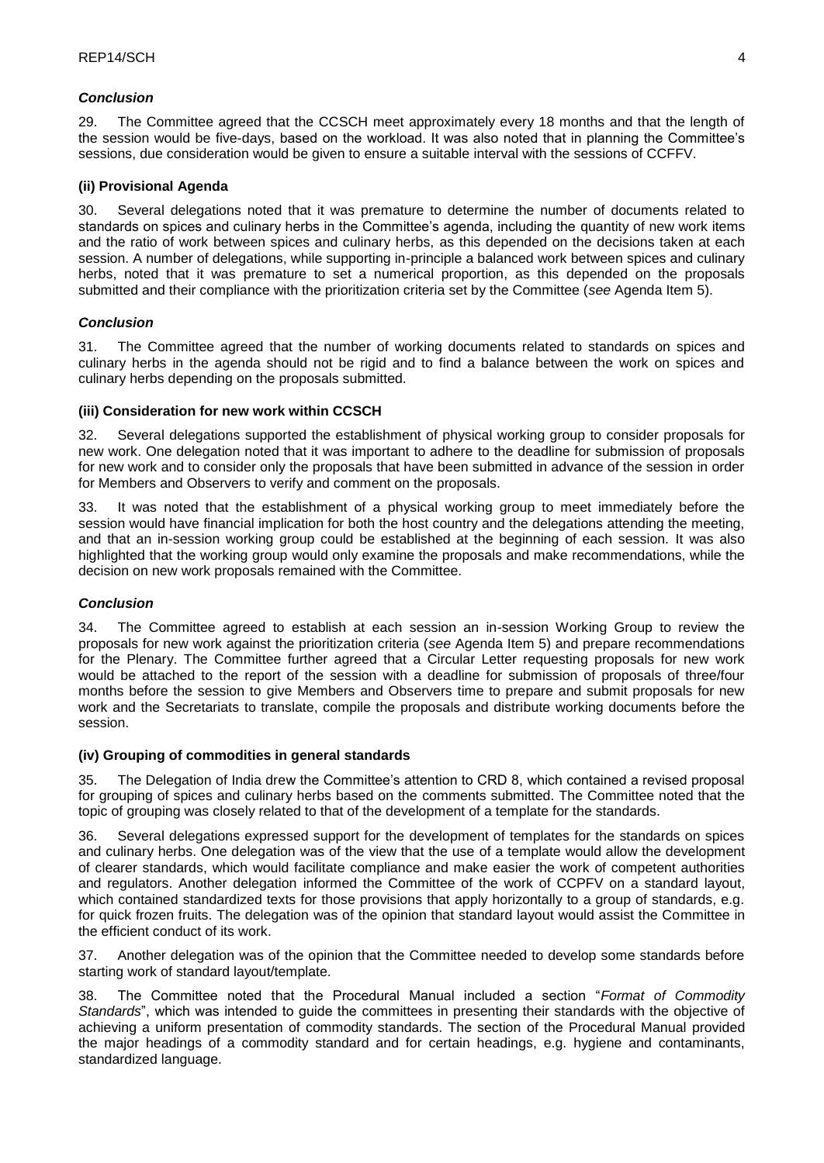### *Conclusion*

29. The Committee agreed that the CCSCH meet approximately every 18 months and that the length of the session would be five-days, based on the workload. It was also noted that in planning the Committee's sessions, due consideration would be given to ensure a suitable interval with the sessions of CCFFV.

## **(ii) Provisional Agenda**

30. Several delegations noted that it was premature to determine the number of documents related to standards on spices and culinary herbs in the Committee's agenda, including the quantity of new work items and the ratio of work between spices and culinary herbs, as this depended on the decisions taken at each session. A number of delegations, while supporting in-principle a balanced work between spices and culinary herbs, noted that it was premature to set a numerical proportion, as this depended on the proposals submitted and their compliance with the prioritization criteria set by the Committee (*see* Agenda Item 5).

## *Conclusion*

31. The Committee agreed that the number of working documents related to standards on spices and culinary herbs in the agenda should not be rigid and to find a balance between the work on spices and culinary herbs depending on the proposals submitted.

### **(iii) Consideration for new work within CCSCH**

32. Several delegations supported the establishment of physical working group to consider proposals for new work. One delegation noted that it was important to adhere to the deadline for submission of proposals for new work and to consider only the proposals that have been submitted in advance of the session in order for Members and Observers to verify and comment on the proposals.

33. It was noted that the establishment of a physical working group to meet immediately before the session would have financial implication for both the host country and the delegations attending the meeting, and that an in-session working group could be established at the beginning of each session. It was also highlighted that the working group would only examine the proposals and make recommendations, while the decision on new work proposals remained with the Committee.

## *Conclusion*

34. The Committee agreed to establish at each session an in-session Working Group to review the proposals for new work against the prioritization criteria (*see* Agenda Item 5) and prepare recommendations for the Plenary. The Committee further agreed that a Circular Letter requesting proposals for new work would be attached to the report of the session with a deadline for submission of proposals of three/four months before the session to give Members and Observers time to prepare and submit proposals for new work and the Secretariats to translate, compile the proposals and distribute working documents before the session.

### **(iv) Grouping of commodities in general standards**

35. The Delegation of India drew the Committee's attention to CRD 8, which contained a revised proposal for grouping of spices and culinary herbs based on the comments submitted. The Committee noted that the topic of grouping was closely related to that of the development of a template for the standards.

36. Several delegations expressed support for the development of templates for the standards on spices and culinary herbs. One delegation was of the view that the use of a template would allow the development of clearer standards, which would facilitate compliance and make easier the work of competent authorities and regulators. Another delegation informed the Committee of the work of CCPFV on a standard layout, which contained standardized texts for those provisions that apply horizontally to a group of standards, e.g. for quick frozen fruits. The delegation was of the opinion that standard layout would assist the Committee in the efficient conduct of its work.

37. Another delegation was of the opinion that the Committee needed to develop some standards before starting work of standard layout/template.

38. The Committee noted that the Procedural Manual included a section "*Format of Commodity Standards*", which was intended to guide the committees in presenting their standards with the objective of achieving a uniform presentation of commodity standards. The section of the Procedural Manual provided the major headings of a commodity standard and for certain headings, e.g. hygiene and contaminants, standardized language.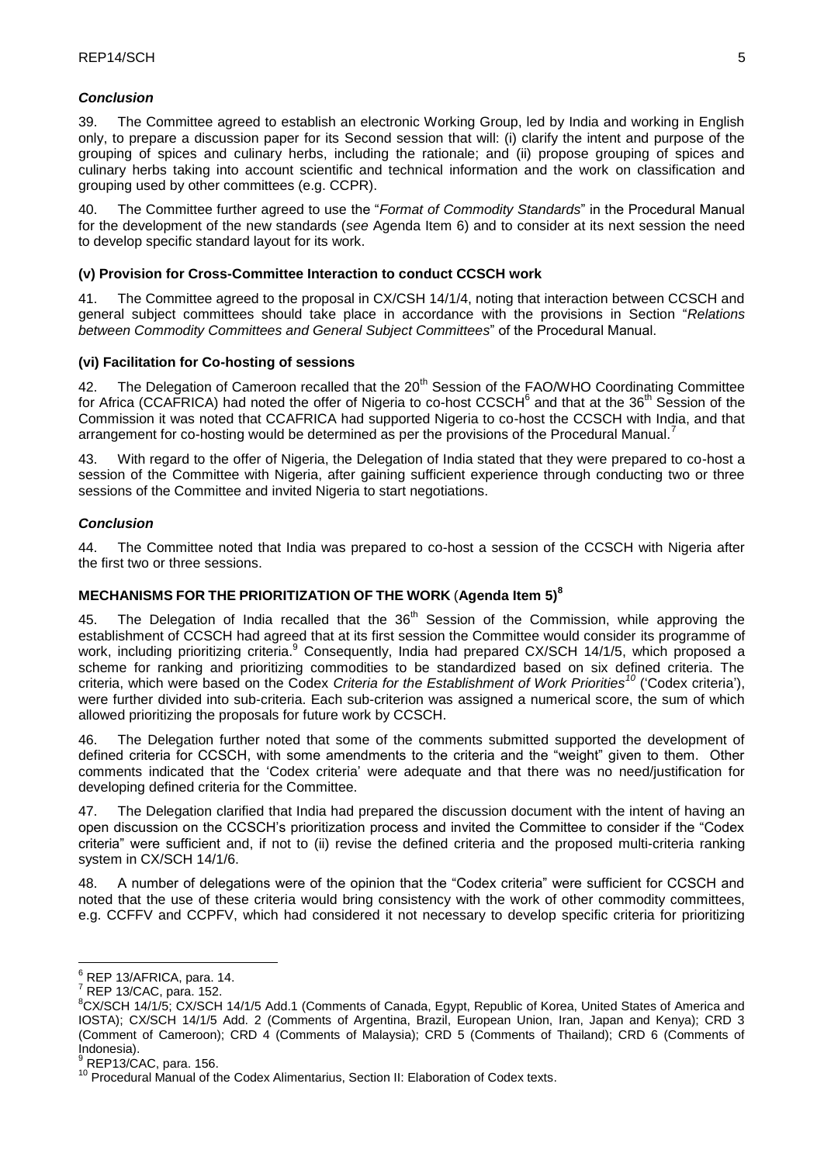### *Conclusion*

39. The Committee agreed to establish an electronic Working Group, led by India and working in English only, to prepare a discussion paper for its Second session that will: (i) clarify the intent and purpose of the grouping of spices and culinary herbs, including the rationale; and (ii) propose grouping of spices and culinary herbs taking into account scientific and technical information and the work on classification and grouping used by other committees (e.g. CCPR).

40. The Committee further agreed to use the "*Format of Commodity Standards*" in the Procedural Manual for the development of the new standards (*see* Agenda Item 6) and to consider at its next session the need to develop specific standard layout for its work.

## **(v) Provision for Cross-Committee Interaction to conduct CCSCH work**

41. The Committee agreed to the proposal in CX/CSH 14/1/4, noting that interaction between CCSCH and general subject committees should take place in accordance with the provisions in Section "*Relations between Commodity Committees and General Subject Committees*" of the Procedural Manual.

## **(vi) Facilitation for Co-hosting of sessions**

42. The Delegation of Cameroon recalled that the 20<sup>th</sup> Session of the FAO/WHO Coordinating Committee for Africa (CCAFRICA) had noted the offer of Nigeria to co-host CCSCH<sup>6</sup> and that at the 36<sup>th</sup> Session of the Commission it was noted that CCAFRICA had supported Nigeria to co-host the CCSCH with India, and that arrangement for co-hosting would be determined as per the provisions of the Procedural Manual.<sup>7</sup>

43. With regard to the offer of Nigeria, the Delegation of India stated that they were prepared to co-host a session of the Committee with Nigeria, after gaining sufficient experience through conducting two or three sessions of the Committee and invited Nigeria to start negotiations.

## *Conclusion*

44. The Committee noted that India was prepared to co-host a session of the CCSCH with Nigeria after the first two or three sessions.

# **MECHANISMS FOR THE PRIORITIZATION OF THE WORK** (**Agenda Item 5)<sup>8</sup>**

45. The Delegation of India recalled that the 36<sup>th</sup> Session of the Commission, while approving the establishment of CCSCH had agreed that at its first session the Committee would consider its programme of work, including prioritizing criteria.<sup>9</sup> Consequently, India had prepared CX/SCH 14/1/5, which proposed a scheme for ranking and prioritizing commodities to be standardized based on six defined criteria. The criteria, which were based on the Codex *Criteria for the Establishment of Work Priorities<sup>10</sup>* ('Codex criteria'), were further divided into sub-criteria. Each sub-criterion was assigned a numerical score, the sum of which allowed prioritizing the proposals for future work by CCSCH.

46. The Delegation further noted that some of the comments submitted supported the development of defined criteria for CCSCH, with some amendments to the criteria and the "weight" given to them. Other comments indicated that the 'Codex criteria' were adequate and that there was no need/justification for developing defined criteria for the Committee.

47. The Delegation clarified that India had prepared the discussion document with the intent of having an open discussion on the CCSCH's prioritization process and invited the Committee to consider if the "Codex criteria" were sufficient and, if not to (ii) revise the defined criteria and the proposed multi-criteria ranking system in CX/SCH 14/1/6.

48. A number of delegations were of the opinion that the "Codex criteria" were sufficient for CCSCH and noted that the use of these criteria would bring consistency with the work of other commodity committees, e.g. CCFFV and CCPFV, which had considered it not necessary to develop specific criteria for prioritizing

1

 $6$  REP 13/AFRICA, para. 14.

<sup>7</sup> REP 13/CAC, para. 152.

<sup>&</sup>lt;sup>8</sup>CX/SCH 14/1/5; CX/SCH 14/1/5 Add.1 (Comments of Canada, Egypt, Republic of Korea, United States of America and IOSTA); CX/SCH 14/1/5 Add. 2 (Comments of Argentina, Brazil, European Union, Iran, Japan and Kenya); CRD 3 (Comment of Cameroon); CRD 4 (Comments of Malaysia); CRD 5 (Comments of Thailand); CRD 6 (Comments of Indonesia).

REP13/CAC, para. 156.

<sup>&</sup>lt;sup>10</sup> Procedural Manual of the Codex Alimentarius, Section II: Elaboration of Codex texts.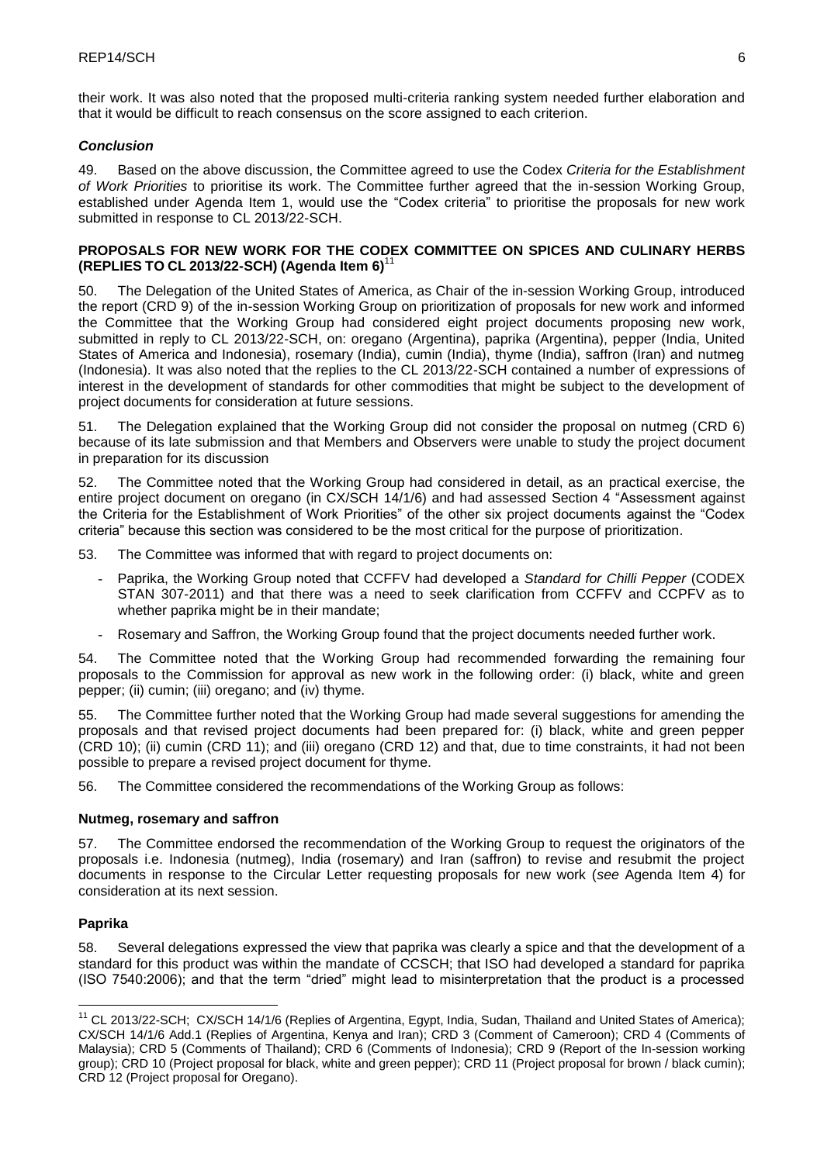their work. It was also noted that the proposed multi-criteria ranking system needed further elaboration and that it would be difficult to reach consensus on the score assigned to each criterion.

## *Conclusion*

49. Based on the above discussion, the Committee agreed to use the Codex *Criteria for the Establishment of Work Priorities* to prioritise its work. The Committee further agreed that the in-session Working Group, established under Agenda Item 1, would use the "Codex criteria" to prioritise the proposals for new work submitted in response to CL 2013/22-SCH.

## **PROPOSALS FOR NEW WORK FOR THE CODEX COMMITTEE ON SPICES AND CULINARY HERBS (REPLIES TO CL 2013/22-SCH) (Agenda Item 6)**<sup>11</sup>

50. The Delegation of the United States of America, as Chair of the in-session Working Group, introduced the report (CRD 9) of the in-session Working Group on prioritization of proposals for new work and informed the Committee that the Working Group had considered eight project documents proposing new work, submitted in reply to CL 2013/22-SCH, on: oregano (Argentina), paprika (Argentina), pepper (India, United States of America and Indonesia), rosemary (India), cumin (India), thyme (India), saffron (Iran) and nutmeg (Indonesia). It was also noted that the replies to the CL 2013/22-SCH contained a number of expressions of interest in the development of standards for other commodities that might be subject to the development of project documents for consideration at future sessions.

51. The Delegation explained that the Working Group did not consider the proposal on nutmeg (CRD 6) because of its late submission and that Members and Observers were unable to study the project document in preparation for its discussion

52. The Committee noted that the Working Group had considered in detail, as an practical exercise, the entire project document on oregano (in CX/SCH 14/1/6) and had assessed Section 4 "Assessment against the Criteria for the Establishment of Work Priorities" of the other six project documents against the "Codex criteria" because this section was considered to be the most critical for the purpose of prioritization.

- 53. The Committee was informed that with regard to project documents on:
	- Paprika, the Working Group noted that CCFFV had developed a *Standard for Chilli Pepper* (CODEX STAN 307-2011) and that there was a need to seek clarification from CCFFV and CCPFV as to whether paprika might be in their mandate;
	- Rosemary and Saffron, the Working Group found that the project documents needed further work.

54. The Committee noted that the Working Group had recommended forwarding the remaining four proposals to the Commission for approval as new work in the following order: (i) black, white and green pepper; (ii) cumin; (iii) oregano; and (iv) thyme.

55. The Committee further noted that the Working Group had made several suggestions for amending the proposals and that revised project documents had been prepared for: (i) black, white and green pepper (CRD 10); (ii) cumin (CRD 11); and (iii) oregano (CRD 12) and that, due to time constraints, it had not been possible to prepare a revised project document for thyme.

56. The Committee considered the recommendations of the Working Group as follows:

### **Nutmeg, rosemary and saffron**

57. The Committee endorsed the recommendation of the Working Group to request the originators of the proposals i.e. Indonesia (nutmeg), India (rosemary) and Iran (saffron) to revise and resubmit the project documents in response to the Circular Letter requesting proposals for new work (*see* Agenda Item 4) for consideration at its next session.

# **Paprika**

<u>.</u>

58. Several delegations expressed the view that paprika was clearly a spice and that the development of a standard for this product was within the mandate of CCSCH; that ISO had developed a standard for paprika (ISO 7540:2006); and that the term "dried" might lead to misinterpretation that the product is a processed

<sup>&</sup>lt;sup>11</sup> CL 2013/22-SCH; CX/SCH 14/1/6 (Replies of Argentina, Egypt, India, Sudan, Thailand and United States of America); CX/SCH 14/1/6 Add.1 (Replies of Argentina, Kenya and Iran); CRD 3 (Comment of Cameroon); CRD 4 (Comments of Malaysia); CRD 5 (Comments of Thailand); CRD 6 (Comments of Indonesia); CRD 9 (Report of the In-session working group); CRD 10 (Project proposal for black, white and green pepper); CRD 11 (Project proposal for brown / black cumin); CRD 12 (Project proposal for Oregano).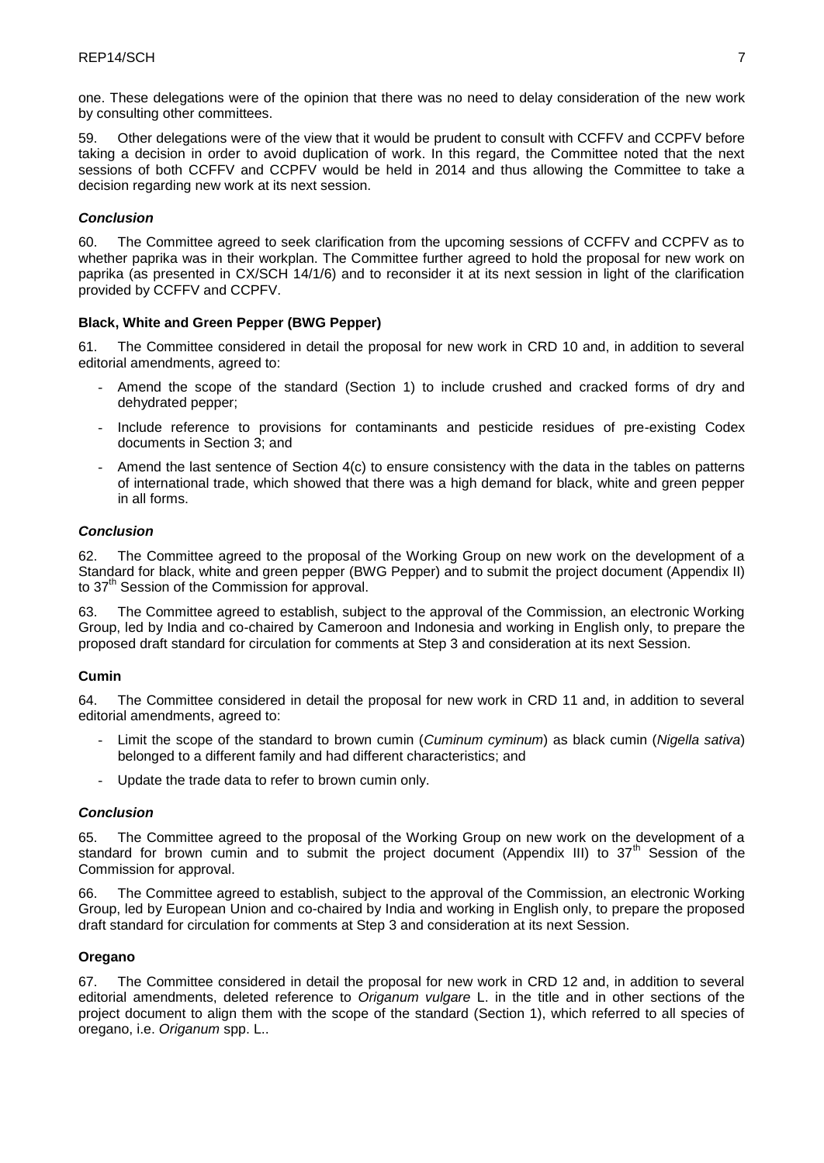one. These delegations were of the opinion that there was no need to delay consideration of the new work by consulting other committees.

59. Other delegations were of the view that it would be prudent to consult with CCFFV and CCPFV before taking a decision in order to avoid duplication of work. In this regard, the Committee noted that the next sessions of both CCFFV and CCPFV would be held in 2014 and thus allowing the Committee to take a decision regarding new work at its next session.

### *Conclusion*

60. The Committee agreed to seek clarification from the upcoming sessions of CCFFV and CCPFV as to whether paprika was in their workplan. The Committee further agreed to hold the proposal for new work on paprika (as presented in CX/SCH 14/1/6) and to reconsider it at its next session in light of the clarification provided by CCFFV and CCPFV.

## **Black, White and Green Pepper (BWG Pepper)**

61. The Committee considered in detail the proposal for new work in CRD 10 and, in addition to several editorial amendments, agreed to:

- Amend the scope of the standard (Section 1) to include crushed and cracked forms of dry and dehydrated pepper;
- Include reference to provisions for contaminants and pesticide residues of pre-existing Codex documents in Section 3; and
- Amend the last sentence of Section 4(c) to ensure consistency with the data in the tables on patterns of international trade, which showed that there was a high demand for black, white and green pepper in all forms.

### *Conclusion*

62. The Committee agreed to the proposal of the Working Group on new work on the development of a Standard for black, white and green pepper (BWG Pepper) and to submit the project document (Appendix II) to 37<sup>th</sup> Session of the Commission for approval.

63. The Committee agreed to establish, subject to the approval of the Commission, an electronic Working Group, led by India and co-chaired by Cameroon and Indonesia and working in English only, to prepare the proposed draft standard for circulation for comments at Step 3 and consideration at its next Session.

### **Cumin**

64. The Committee considered in detail the proposal for new work in CRD 11 and, in addition to several editorial amendments, agreed to:

- Limit the scope of the standard to brown cumin (*Cuminum cyminum*) as black cumin (*Nigella sativa*) belonged to a different family and had different characteristics; and
- Update the trade data to refer to brown cumin only.

### *Conclusion*

65. The Committee agreed to the proposal of the Working Group on new work on the development of a standard for brown cumin and to submit the project document (Appendix III) to  $37<sup>th</sup>$  Session of the Commission for approval.

66. The Committee agreed to establish, subject to the approval of the Commission, an electronic Working Group, led by European Union and co-chaired by India and working in English only, to prepare the proposed draft standard for circulation for comments at Step 3 and consideration at its next Session.

### **Oregano**

67. The Committee considered in detail the proposal for new work in CRD 12 and, in addition to several editorial amendments, deleted reference to *Origanum vulgare* L. in the title and in other sections of the project document to align them with the scope of the standard (Section 1), which referred to all species of oregano, i.e. *Origanum* spp. L..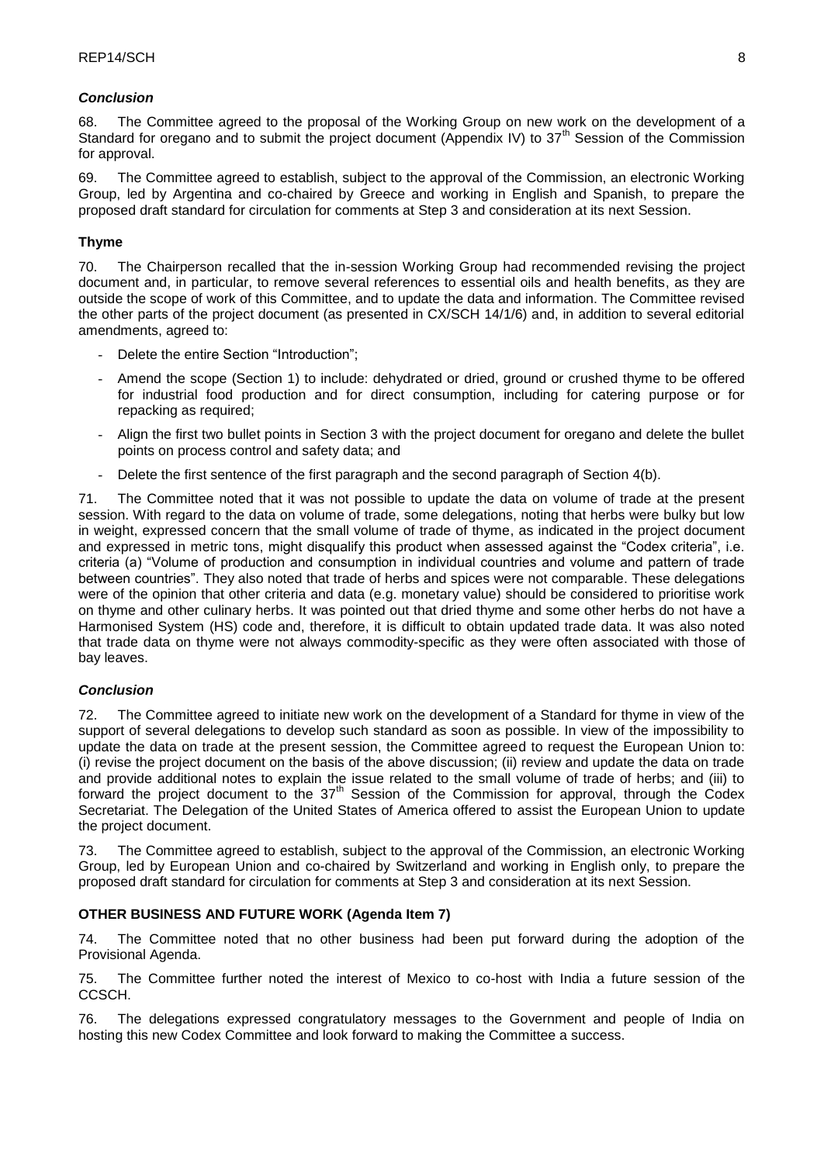## *Conclusion*

68. The Committee agreed to the proposal of the Working Group on new work on the development of a Standard for oregano and to submit the project document (Appendix IV) to 37<sup>th</sup> Session of the Commission for approval.

69. The Committee agreed to establish, subject to the approval of the Commission, an electronic Working Group, led by Argentina and co-chaired by Greece and working in English and Spanish, to prepare the proposed draft standard for circulation for comments at Step 3 and consideration at its next Session.

### **Thyme**

70. The Chairperson recalled that the in-session Working Group had recommended revising the project document and, in particular, to remove several references to essential oils and health benefits, as they are outside the scope of work of this Committee, and to update the data and information. The Committee revised the other parts of the project document (as presented in CX/SCH 14/1/6) and, in addition to several editorial amendments, agreed to:

- Delete the entire Section "Introduction";
- Amend the scope (Section 1) to include: dehydrated or dried, ground or crushed thyme to be offered for industrial food production and for direct consumption, including for catering purpose or for repacking as required;
- Align the first two bullet points in Section 3 with the project document for oregano and delete the bullet points on process control and safety data; and
- Delete the first sentence of the first paragraph and the second paragraph of Section 4(b).

71. The Committee noted that it was not possible to update the data on volume of trade at the present session. With regard to the data on volume of trade, some delegations, noting that herbs were bulky but low in weight, expressed concern that the small volume of trade of thyme, as indicated in the project document and expressed in metric tons, might disqualify this product when assessed against the "Codex criteria", i.e. criteria (a) "Volume of production and consumption in individual countries and volume and pattern of trade between countries". They also noted that trade of herbs and spices were not comparable. These delegations were of the opinion that other criteria and data (e.g. monetary value) should be considered to prioritise work on thyme and other culinary herbs. It was pointed out that dried thyme and some other herbs do not have a Harmonised System (HS) code and, therefore, it is difficult to obtain updated trade data. It was also noted that trade data on thyme were not always commodity-specific as they were often associated with those of bay leaves.

# *Conclusion*

72. The Committee agreed to initiate new work on the development of a Standard for thyme in view of the support of several delegations to develop such standard as soon as possible. In view of the impossibility to update the data on trade at the present session, the Committee agreed to request the European Union to: (i) revise the project document on the basis of the above discussion; (ii) review and update the data on trade and provide additional notes to explain the issue related to the small volume of trade of herbs; and (iii) to forward the project document to the 37<sup>th</sup> Session of the Commission for approval, through the Codex Secretariat. The Delegation of the United States of America offered to assist the European Union to update the project document.

73. The Committee agreed to establish, subject to the approval of the Commission, an electronic Working Group, led by European Union and co-chaired by Switzerland and working in English only, to prepare the proposed draft standard for circulation for comments at Step 3 and consideration at its next Session.

### **OTHER BUSINESS AND FUTURE WORK (Agenda Item 7)**

74. The Committee noted that no other business had been put forward during the adoption of the Provisional Agenda.

75. The Committee further noted the interest of Mexico to co-host with India a future session of the CCSCH.

76. The delegations expressed congratulatory messages to the Government and people of India on hosting this new Codex Committee and look forward to making the Committee a success.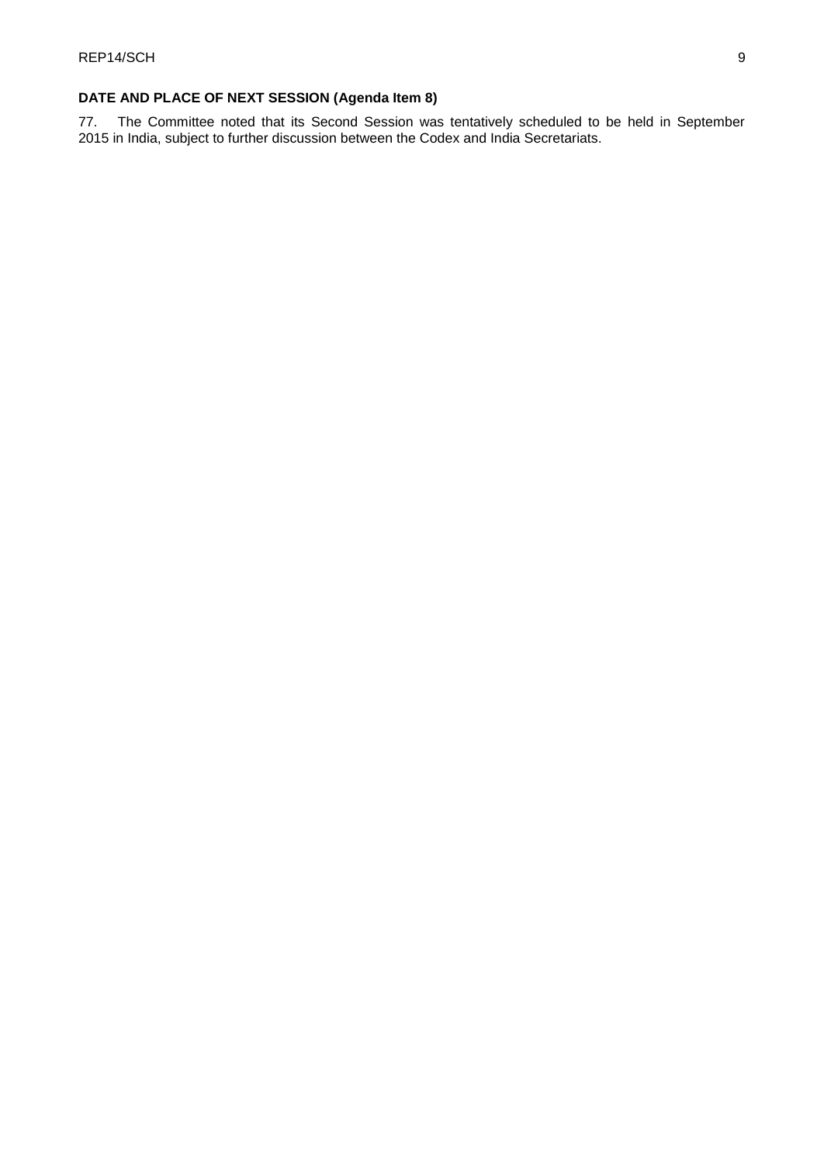# **DATE AND PLACE OF NEXT SESSION (Agenda Item 8)**

77. The Committee noted that its Second Session was tentatively scheduled to be held in September 2015 in India, subject to further discussion between the Codex and India Secretariats.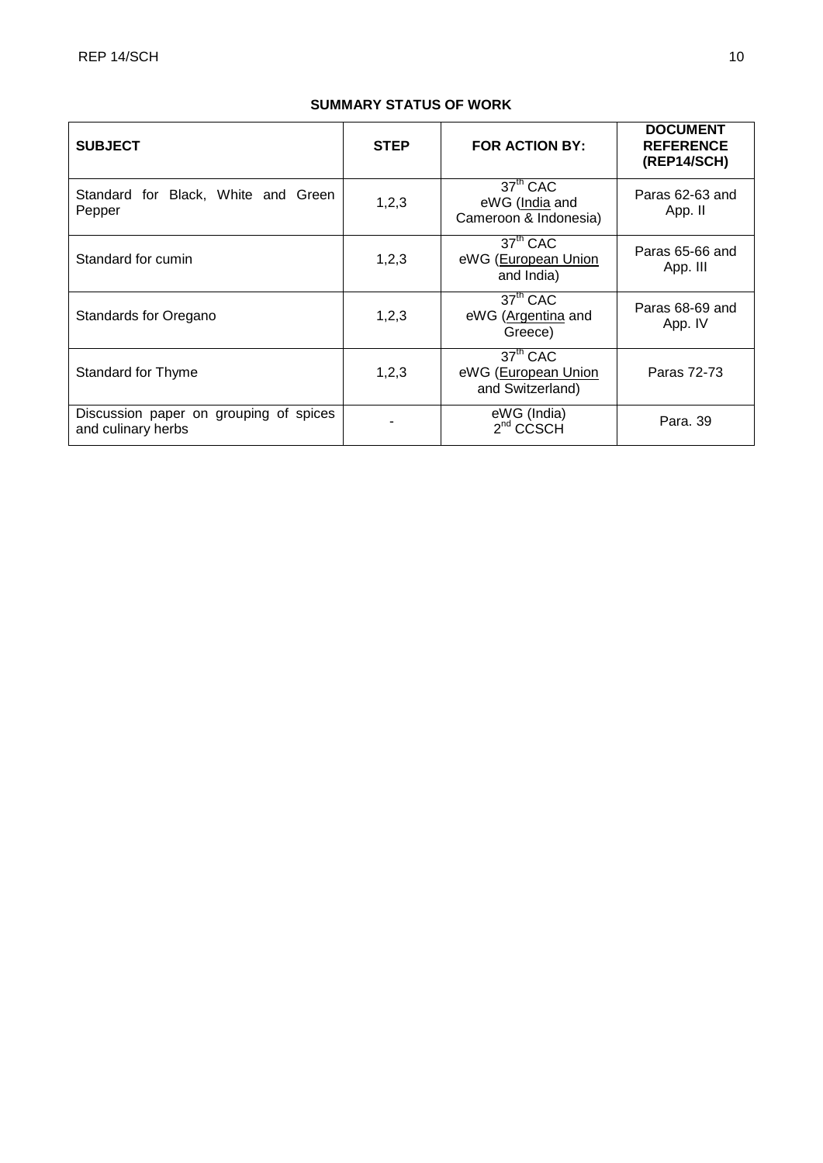# **SUMMARY STATUS OF WORK**

| <b>SUBJECT</b>                                               | <b>STEP</b> | <b>FOR ACTION BY:</b>                                           | <b>DOCUMENT</b><br><b>REFERENCE</b><br>(REP14/SCH) |
|--------------------------------------------------------------|-------------|-----------------------------------------------------------------|----------------------------------------------------|
| Standard for Black, White and Green<br>Pepper                | 1,2,3       | $37th$ CAC<br>eWG (India and<br>Cameroon & Indonesia)           | Paras 62-63 and<br>App. II                         |
| Standard for cumin                                           | 1,2,3       | 37 <sup>th</sup> CAC<br>eWG (European Union<br>and India)       | Paras 65-66 and<br>App. III                        |
| Standards for Oregano                                        | 1,2,3       | 37 <sup>th</sup> CAC<br>eWG (Argentina and<br>Greece)           | Paras 68-69 and<br>App. IV                         |
| <b>Standard for Thyme</b>                                    | 1,2,3       | 37 <sup>th</sup> CAC<br>eWG (European Union<br>and Switzerland) | Paras 72-73                                        |
| Discussion paper on grouping of spices<br>and culinary herbs |             | eWG (India)<br>$2nd$ CCSCH                                      | Para, 39                                           |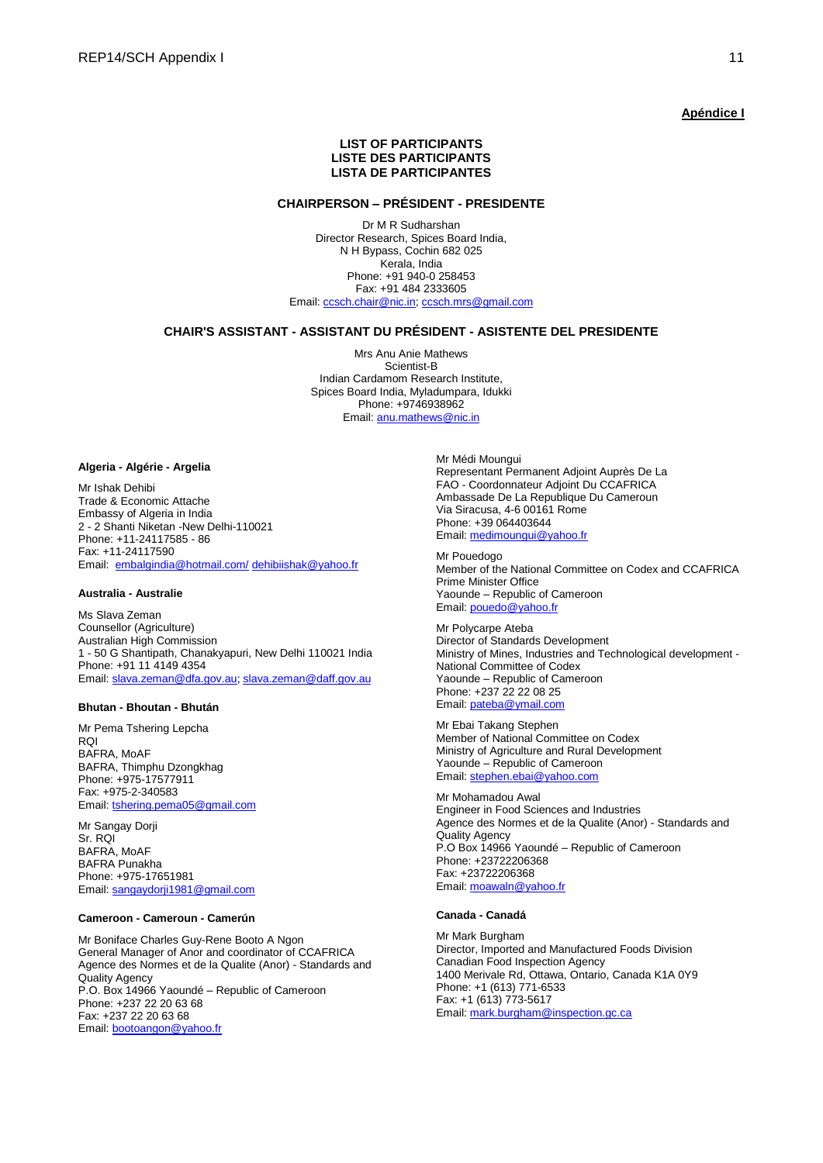### **Apéndice I**

### **LIST OF PARTICIPANTS LISTE DES PARTICIPANTS LISTA DE PARTICIPANTES**

### **CHAIRPERSON – PRÉSIDENT - PRESIDENTE**

Dr M R Sudharshan Director Research, Spices Board India, N H Bypass, Cochin 682 025 Kerala, India Phone: +91 940-0 258453 Fax: +91 484 2333605 Email: [ccsch.chair@nic.in;](mailto:ccsch.chair@nic.in) [ccsch.mrs@gmail.com](mailto:ccsch.mrs@gmail.com)

### **CHAIR'S ASSISTANT - ASSISTANT DU PRÉSIDENT - ASISTENTE DEL PRESIDENTE**

Mrs Anu Anie Mathews Scientist-B Indian Cardamom Research Institute, Spices Board India, Myladumpara, Idukki Phone: +9746938962 Email[: anu.mathews@nic.in](mailto:anu.mathews@nic.in)

#### **Algeria - Algérie - Argelia**

Mr Ishak Dehibi Trade & Economic Attache Embassy of Algeria in India 2 - 2 Shanti Niketan -New Delhi-110021 Phone: +11-24117585 - 86 Fax: +11-24117590 Email: [embalgindia@hotmail.com/](mailto:embalgindia@hotmail.com/) [dehibiishak@yahoo.fr](mailto:dehibiishak@yahoo.fr)

### **Australia - Australie**

Ms Slava Zeman Counsellor (Agriculture) Australian High Commission 1 - 50 G Shantipath, Chanakyapuri, New Delhi 110021 India Phone: +91 11 4149 4354 Email: [slava.zeman@dfa.gov.au;](mailto:slava.zeman@dfa.gov.au) [slava.zeman@daff.gov.au](mailto:slava.zeman@daff.gov.au)

### **Bhutan - Bhoutan - Bhután**

Mr Pema Tshering Lepcha RQI BAFRA, MoAF BAFRA, Thimphu Dzongkhag Phone: +975-17577911 Fax: +975-2-340583 Email: [tshering.pema05@gmail.com](mailto:thsering.pema05@gmail.com)

Mr Sangay Dorji Sr. RQI BAFRA, MoAF BAFRA Punakha Phone: +975-17651981 Email: [sangaydorji1981@gmail.com](mailto:sangaydorji1981@gmail.com)

### **Cameroon - Cameroun - Camerún**

Mr Boniface Charles Guy-Rene Booto A Ngon General Manager of Anor and coordinator of CCAFRICA Agence des Normes et de la Qualite (Anor) - Standards and Quality Agency P.O. Box 14966 Yaoundé – Republic of Cameroon Phone: +237 22 20 63 68 Fax: +237 22 20 63 68 Email: [bootoangon@yahoo.fr](mailto:bootoangon@yahoo.fr)

Mr Médi Moungui Representant Permanent Adjoint Auprès De La FAO - Coordonnateur Adjoint Du CCAFRICA Ambassade De La Republique Du Cameroun Via Siracusa, 4-6 00161 Rome Phone: +39 064403644 Email: [medimoungui@yahoo.fr](mailto:medimoungui@yahoo.fr)

Mr Pouedogo Member of the National Committee on Codex and CCAFRICA Prime Minister Office Yaounde – Republic of Cameroon Email: [pouedo@yahoo.fr](mailto:pouedo@yahoo.fr)

Mr Polycarpe Ateba Director of Standards Development Ministry of Mines, Industries and Technological development - National Committee of Codex Yaounde – Republic of Cameroon Phone: +237 22 22 08 25 Email: [pateba@ymail.com](mailto:pateba@ymail.com)

Mr Ebai Takang Stephen Member of National Committee on Codex Ministry of Agriculture and Rural Development Yaounde – Republic of Cameroon Email: [stephen.ebai@yahoo.com](mailto:stephen.ebai@yahoo.com) 

Mr Mohamadou Awal Engineer in Food Sciences and Industries Agence des Normes et de la Qualite (Anor) - Standards and Quality Agency P.O Box 14966 Yaoundé – Republic of Cameroon Phone: +23722206368 Fax: +23722206368 Email: [moawaln@yahoo.fr](mailto:moawaln@yahoo.fr)

### **Canada - Canadá**

Mr Mark Burgham Director, Imported and Manufactured Foods Division Canadian Food Inspection Agency 1400 Merivale Rd, Ottawa, Ontario, Canada K1A 0Y9 Phone: +1 (613) 771-6533 Fax: +1 (613) 773-5617 Email: [mark.burgham@inspection.gc.ca](mailto:mark.burgham@inspection.gc.ca)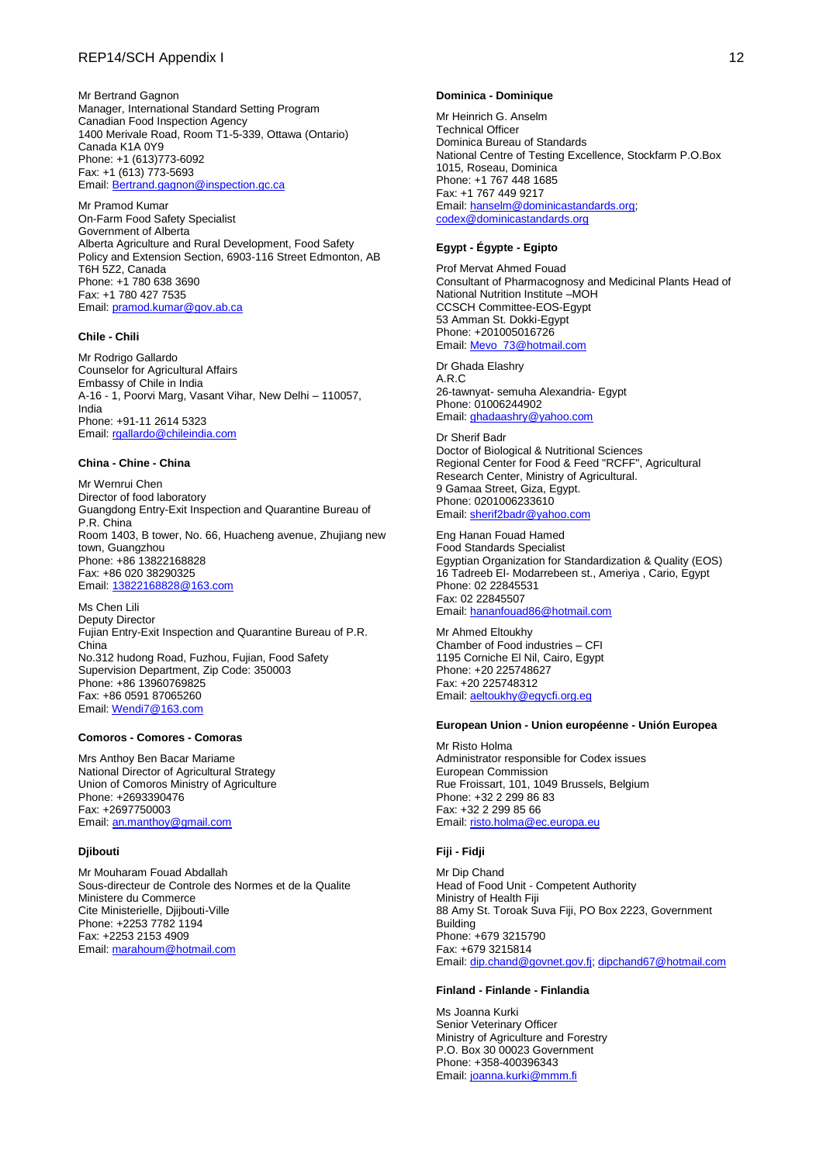Mr Bertrand Gagnon Manager, International Standard Setting Program Canadian Food Inspection Agency 1400 Merivale Road, Room T1-5-339, Ottawa (Ontario) Canada K1A 0Y9 Phone: +1 (613)773-6092 Fax: +1 (613) 773-5693 Email: [Bertrand.gagnon@inspection.gc.ca](mailto:Bertrand.gagnon@inspection.gc.ca)

Mr Pramod Kumar On-Farm Food Safety Specialist Government of Alberta Alberta Agriculture and Rural Development, Food Safety Policy and Extension Section, 6903-116 Street Edmonton, AB T6H 5Z2, Canada Phone: +1 780 638 3690 Fax: +1 780 427 7535 Email: [pramod.kumar@gov.ab.ca](mailto:pramod.kumar@gov.ab.ca)

### **Chile - Chili**

Mr Rodrigo Gallardo Counselor for Agricultural Affairs Embassy of Chile in India A-16 - 1, Poorvi Marg, Vasant Vihar, New Delhi – 110057, India Phone: +91-11 2614 5323 Email: [rgallardo@chileindia.com](mailto:rgallardo@chileindia.com)

### **China - Chine - China**

Mr Wernrui Chen Director of food laboratory Guangdong Entry-Exit Inspection and Quarantine Bureau of P.R. China Room 1403, B tower, No. 66, Huacheng avenue, Zhujiang new town, Guangzhou Phone: +86 13822168828 Fax: +86 020 38290325 Email: [13822168828@163.com](mailto:13822168828@163.com)

Ms Chen Lili Deputy Director Fujian Entry-Exit Inspection and Quarantine Bureau of P.R. China No.312 hudong Road, Fuzhou, Fujian, Food Safety Supervision Department, Zip Code: 350003 Phone: +86 13960769825 Fax: +86 0591 87065260 Email: [Wendi7@163.com](mailto:Wendi7@163.com)

### **Comoros - Comores - Comoras**

Mrs Anthoy Ben Bacar Mariame National Director of Agricultural Strategy Union of Comoros Ministry of Agriculture Phone: +2693390476 Fax: +2697750003 Email: [an.manthoy@gmail.com](mailto:an.manthoy@gmail.com)

### **Djibouti**

Mr Mouharam Fouad Abdallah Sous-directeur de Controle des Normes et de la Qualite Ministere du Commerce Cite Ministerielle, Djijbouti-Ville Phone: +2253 7782 1194 Fax: +2253 2153 4909 Email: [marahoum@hotmail.com](mailto:marahoum@hotmail.com)

#### **Dominica - Dominique**

Mr Heinrich G. Anselm Technical Officer Dominica Bureau of Standards National Centre of Testing Excellence, Stockfarm P.O.Box 1015, Roseau, Dominica Phone: +1 767 448 1685 Fax: +1 767 449 9217 Email: [hanselm@dominicastandards.org;](mailto:hanselm@dominicastandards.org) [codex@dominicastandards.org](mailto:codex@dominicastandards.org)

### **Egypt - Égypte - Egipto**

Prof Mervat Ahmed Fouad Consultant of Pharmacognosy and Medicinal Plants Head of National Nutrition Institute –MOH CCSCH Committee-EOS-Egypt 53 Amman St. Dokki-Egypt Phone: +201005016726 Email: [Mevo\\_73@hotmail.com](mailto:Mevo_73@hotmail.com)

Dr Ghada Elashry A.R.C 26-tawnyat- semuha Alexandria- Egypt Phone: 01006244902 Email: [ghadaashry@yahoo.com](mailto:ghadaashry@yahoo.com)

Dr Sherif Badr Doctor of Biological & Nutritional Sciences Regional Center for Food & Feed "RCFF", Agricultural Research Center, Ministry of Agricultural. 9 Gamaa Street, Giza, Egypt. Phone: 0201006233610 Email: [sherif2badr@yahoo.com](mailto:sherif2badr@yahoo.com)

Eng Hanan Fouad Hamed Food Standards Specialist Egyptian Organization for Standardization & Quality (EOS) 16 Tadreeb El- Modarrebeen st., Ameriya , Cario, Egypt Phone: 02 22845531 Fax: 02 22845507 Email: [hananfouad86@hotmail.com](mailto:hananfouad86@hotmail.com)

Mr Ahmed Eltoukhy Chamber of Food industries – CFI 1195 Corniche El Nil, Cairo, Egypt Phone: +20 225748627 Fax: +20 225748312 Email: [aeltoukhy@egycfi.org.eg](mailto:aeltoukhy@egycfi.org.eg)

#### **European Union - Union européenne - Unión Europea**

Mr Risto Holma Administrator responsible for Codex issues European Commission Rue Froissart, 101, 1049 Brussels, Belgium Phone: +32 2 299 86 83 Fax: +32 2 299 85 66 Email: [risto.holma@ec.europa.eu](mailto:risto.holma@ec.europa.eu)

### **Fiji - Fidji**

Mr Dip Chand Head of Food Unit - Competent Authority Ministry of Health Fiji 88 Amy St. Toroak Suva Fiji, PO Box 2223, Government Building Phone: +679 3215790 Fax: +679 3215814 Email: [dip.chand@govnet.gov.fj;](mailto:dip.chand@govnet.gov.fj) [dipchand67@hotmail.com](mailto:dipchand67@hotmail.com)

### **Finland - Finlande - Finlandia**

Ms Joanna Kurki Senior Veterinary Officer Ministry of Agriculture and Forestry P.O. Box 30 00023 Government Phone: +358-400396343 Email: [joanna.kurki@mmm.fi](mailto:joanna.kurki@mmm.fi)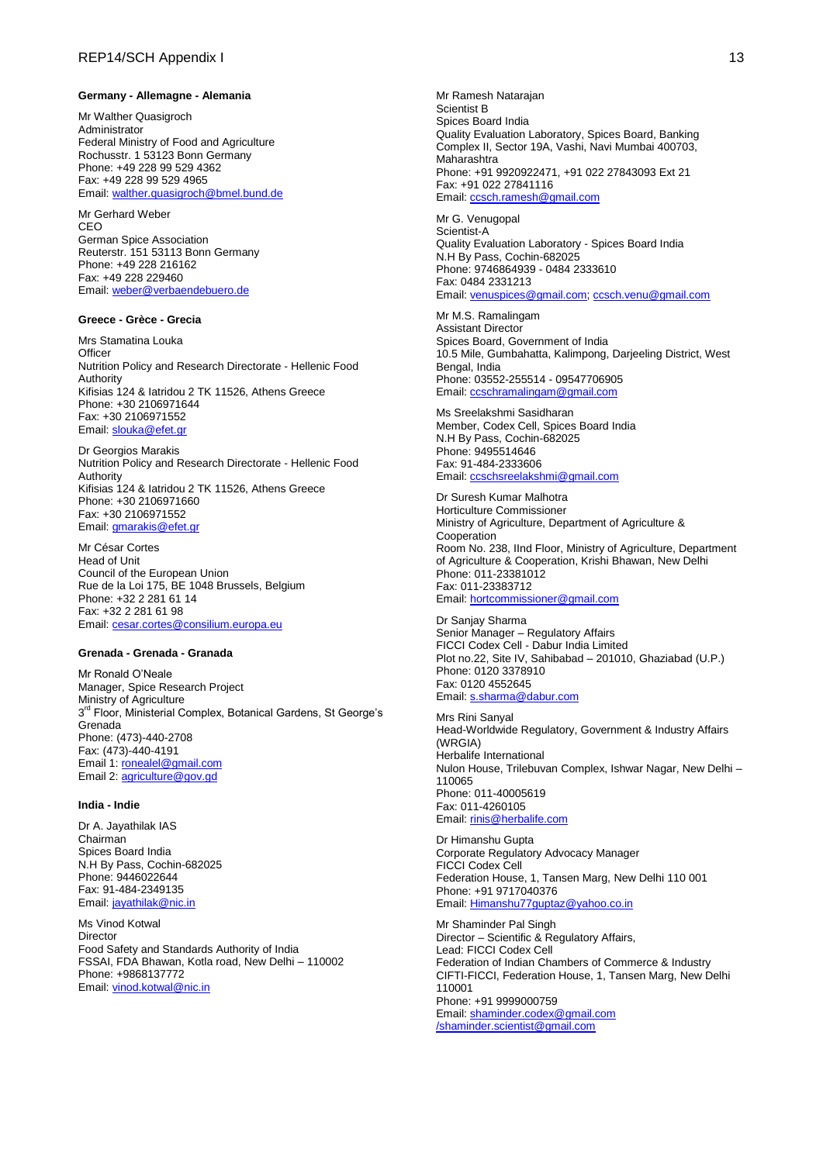#### **Germany - Allemagne - Alemania**

Mr Walther Quasigroch Administrator Federal Ministry of Food and Agriculture Rochusstr. 1 53123 Bonn Germany Phone: +49 228 99 529 4362 Fax: +49 228 99 529 4965 Email: [walther.quasigroch@bmel.bund.de](mailto:walther.quasigroch@bmelv.bund.de)

Mr Gerhard Weber CEO German Spice Association Reuterstr. 151 53113 Bonn Germany Phone: +49 228 216162 Fax: +49 228 229460 Email: [weber@verbaendebuero.de](mailto:weber@verbaendebuero.de)

### **Greece - [Grèce](http://www.codexalimentarius.org/membres-et-observateurs/membres/detail/fr/c/15697/) - Grecia**

Mrs Stamatina Louka **Officer** Nutrition Policy and Research Directorate - Hellenic Food Authority Kifisias 124 & Iatridou 2 TK 11526, Athens Greece Phone: +30 2106971644 Fax: +30 2106971552 Email: [slouka@efet.gr](mailto:slouka@efet.gr)

Dr Georgios Marakis Nutrition Policy and Research Directorate - Hellenic Food Authority Kifisias 124 & Iatridou 2 TK 11526, Athens Greece Phone: +30 2106971660 Fax: +30 2106971552 Email: [gmarakis@efet.gr](mailto:gmarakis@efet.gr)

Mr César Cortes Head of Unit Council of the European Union Rue de la Loi 175, BE 1048 Brussels, Belgium Phone: +32 2 281 61 14 Fax: +32 2 281 61 98 Email: [cesar.cortes@consilium.europa.eu](mailto:cesar.cortes@consilium.europa.eu)

#### **Grenada - Grenada - Granada**

Mr Ronald O'Neale Manager, Spice Research Project Ministry of Agriculture 3<sup>rd</sup> Floor, Ministerial Complex, Botanical Gardens, St George's Grenada Phone: (473)-440-2708 Fax: (473)-440-4191 Email 1: [ronealel@gmail.com](mailto:ronealel@gmail.com) Email 2: [agriculture@gov.gd](mailto:agriculture@gov.gd)

### **India - Indie**

Dr A. Jayathilak IAS Chairman Spices Board India N.H By Pass, Cochin-682025 Phone: 9446022644 Fax: 91-484-2349135 Email: [jayathilak@nic.in](mailto:jayathilak@nic.in)

Ms Vinod Kotwal **Director** Food Safety and Standards Authority of India FSSAI, FDA Bhawan, Kotla road, New Delhi – 110002 Phone: +9868137772 Email: [vinod.kotwal@nic.in](mailto:vinod.kotwal@nic.in)

Mr Ramesh Natarajan Scientist B Spices Board India Quality Evaluation Laboratory, Spices Board, Banking Complex II, Sector 19A, Vashi, Navi Mumbai 400703, Maharashtra Phone: +91 9920922471, +91 022 27843093 Ext 21 Fax: +91 022 27841116 Email: [ccsch.ramesh@gmail.com](mailto:ccsch.ramesh@gmail.com)

Mr G. Venugopal Scientist-A Quality Evaluation Laboratory - Spices Board India N.H By Pass, Cochin-682025 Phone: 9746864939 - 0484 2333610 Fax: 0484 2331213 Email: [venuspices@gmail.com;](mailto:venuspices@gmail.com) [ccsch.venu@gmail.com](mailto:ccsch.venu@gmail.com)

Mr M.S. Ramalingam Assistant Director Spices Board, Government of India 10.5 Mile, Gumbahatta, Kalimpong, Darjeeling District, West Bengal, India Phone: 03552-255514 - 09547706905 Email: [ccschramalingam@gmail.com](mailto:ccschramalingam@gmail.com)

Ms Sreelakshmi Sasidharan Member, Codex Cell, Spices Board India N.H By Pass, Cochin-682025 Phone: 9495514646 Fax: 91-484-2333606 Email: [ccschsreelakshmi@gmail.com](mailto:ccschsreelakshmi@gmail.com)

Dr Suresh Kumar Malhotra Horticulture Commissioner Ministry of Agriculture, Department of Agriculture & Cooperation Room No. 238, IInd Floor, Ministry of Agriculture, Department of Agriculture & Cooperation, Krishi Bhawan, New Delhi Phone: 011-23381012 Fax: 011-23383712 Email: [hortcommissioner@gmail.com](mailto:hortcommissioner@gmail.com)

Dr Sanjay Sharma Senior Manager – Regulatory Affairs FICCI Codex Cell - Dabur India Limited Plot no.22, Site IV, Sahibabad – 201010, Ghaziabad (U.P.) Phone: 0120 3378910 Fax: 0120 4552645 Email: [s.sharma@dabur.com](mailto:s.sharma@dabur.com)

Mrs Rini Sanyal Head-Worldwide Regulatory, Government & Industry Affairs (WRGIA) Herbalife International Nulon House, Trilebuvan Complex, Ishwar Nagar, New Delhi – 110065 Phone: 011-40005619 Fax: 011-4260105 Email: [rinis@herbalife.com](mailto:rinis@herbalife.com)

Dr Himanshu Gupta Corporate Regulatory Advocacy Manager FICCI Codex Cell Federation House, 1, Tansen Marg, New Delhi 110 001 Phone: +91 9717040376 Email: [Himanshu77guptaz@yahoo.co.in](mailto:Himanshu77guptaz@yahoo.co.in)

Mr Shaminder Pal Singh Director – Scientific & Regulatory Affairs, Lead: FICCI Codex Cell Federation of Indian Chambers of Commerce & Industry CIFTI-FICCI, Federation House, 1, Tansen Marg, New Delhi 110001 Phone: +91 9999000759 Email: [shaminder.codex@gmail.com](mailto:shaminder.codex@gmail.com) [/shaminder.scientist@gmail.com](mailto:/shaminder.scientist@gmail.com)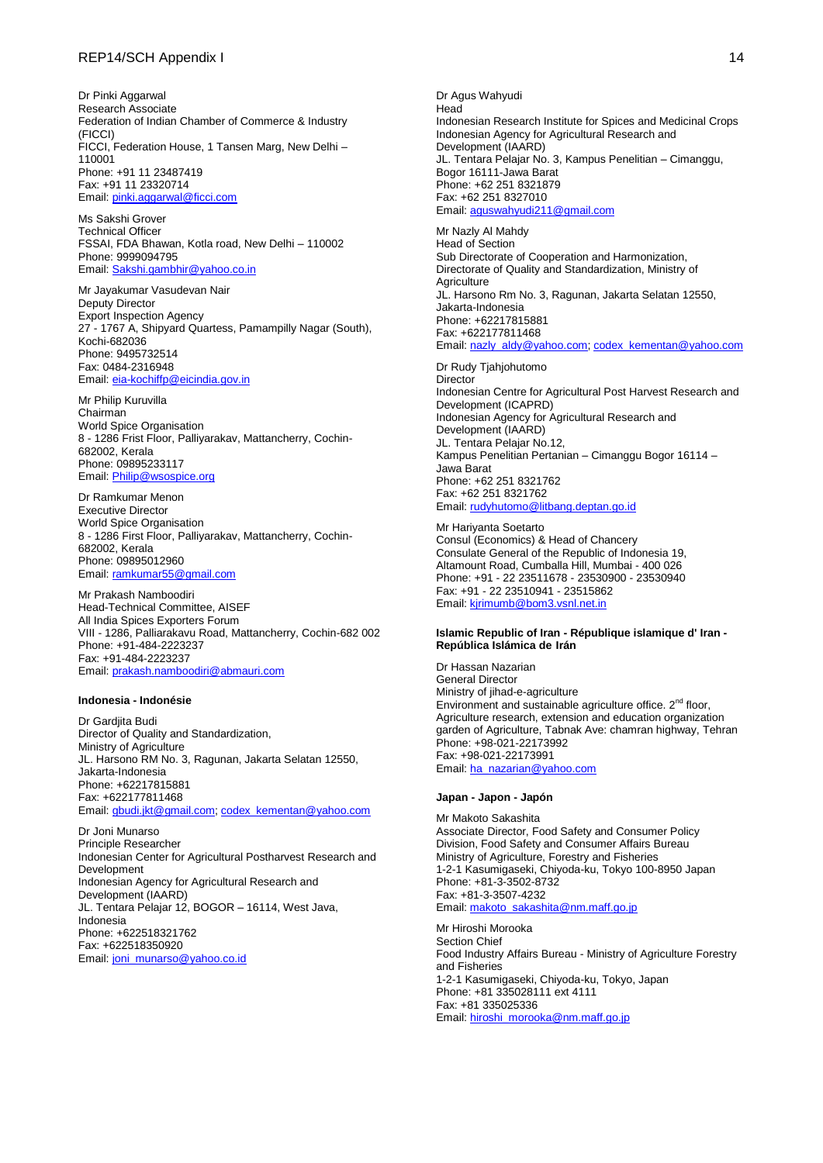Dr Pinki Aggarwal Research Associate Federation of Indian Chamber of Commerce & Industry (FICCI) FICCI, Federation House, 1 Tansen Marg, New Delhi – 110001 Phone: +91 11 23487419 Fax: +91 11 23320714 Email: [pinki.aggarwal@ficci.com](mailto:pinki.aggarwal@ficci.com)

Ms Sakshi Grover Technical Officer FSSAI, FDA Bhawan, Kotla road, New Delhi – 110002 Phone: 9999094795 Email: [Sakshi.gambhir@yahoo.co.in](mailto:Sakshi.gambhir@yahoo.co.in)

Mr Jayakumar Vasudevan Nair Deputy Director Export Inspection Agency 27 - 1767 A, Shipyard Quartess, Pamampilly Nagar (South), Kochi-682036 Phone: 9495732514 Fax: 0484-2316948 Email: [eia-kochiffp@eicindia.gov.in](mailto:eia-kochiffp@eicindia.gov.in)

Mr Philip Kuruvilla Chairman World Spice Organisation 8 - 1286 Frist Floor, Palliyarakav, Mattancherry, Cochin-682002, Kerala Phone: 09895233117 Email: [Philip@wsospice.org](mailto:Philip@wsospice.org)

Dr Ramkumar Menon Executive Director World Spice Organisation 8 - 1286 First Floor, Palliyarakav, Mattancherry, Cochin-682002, Kerala Phone: 09895012960 Email: [ramkumar55@gmail.com](mailto:ramkumar55@gmail.com)

Mr Prakash Namboodiri Head-Technical Committee, AISEF All India Spices Exporters Forum VIII - 1286, Palliarakavu Road, Mattancherry, Cochin-682 002 Phone: +91-484-2223237 Fax: +91-484-2223237 Email: [prakash.namboodiri@abmauri.com](mailto:prakash.namboodiri@abmauri.com)

#### **Indonesia - Indonésie**

Dr Gardjita Budi Director of Quality and Standardization, Ministry of Agriculture JL. Harsono RM No. 3, Ragunan, Jakarta Selatan 12550, Jakarta-Indonesia Phone: +62217815881 Fax: +622177811468 Email: [gbudi.jkt@gmail.com;](mailto:gbudi.jkt@gmail.com) [codex\\_kementan@yahoo.com](mailto:codex_kementan@yahoo.com)

Dr Joni Munarso Principle Researcher Indonesian Center for Agricultural Postharvest Research and Development Indonesian Agency for Agricultural Research and Development (IAARD) JL. Tentara Pelajar 12, BOGOR - 16114, West Java, Indonesia Phone: +622518321762 Fax: +622518350920 Email: [joni\\_munarso@yahoo.co.id](mailto:joni_munarso@yahoo.co.id)

Dr Agus Wahyudi Head Indonesian Research Institute for Spices and Medicinal Crops Indonesian Agency for Agricultural Research and Development (IAARD) JL. Tentara Pelajar No. 3, Kampus Penelitian – Cimanggu, Bogor 16111-Jawa Barat Phone: +62 251 8321879 Fax: +62 251 8327010 Email: [aguswahyudi211@gmail.com](mailto:aguswahyudi211@gmail.com)

Mr Nazly Al Mahdy Head of Section Sub Directorate of Cooperation and Harmonization, Directorate of Quality and Standardization, Ministry of **Agriculture** JL. Harsono Rm No. 3, Ragunan, Jakarta Selatan 12550, Jakarta-Indonesia Phone: +62217815881 Fax: +622177811468 Email: [nazly\\_aldy@yahoo.com;](mailto:nazly_aldy@yahoo.com) [codex\\_kementan@yahoo.com](mailto:codex_kementan@yahoo.com)

Dr Rudy Tjahjohutomo **Director** Indonesian Centre for Agricultural Post Harvest Research and Development (ICAPRD) Indonesian Agency for Agricultural Research and Development (IAARD) JL. Tentara Pelajar No.12, Kampus Penelitian Pertanian – Cimanggu Bogor 16114 – Jawa Barat Phone: +62 251 8321762 Fax: +62 251 8321762 Email: [rudyhutomo@litbang.deptan.go.id](mailto:rudyhutomo@litbang.deptan.go.id)

Mr Hariyanta Soetarto Consul (Economics) & Head of Chancery Consulate General of the Republic of Indonesia 19, Altamount Road, Cumballa Hill, Mumbai - 400 026 Phone: +91 - 22 23511678 - 23530900 - 23530940 Fax: +91 - 22 23510941 - 23515862 Email: [kjrimumb@bom3.vsnl.net.in](mailto:kjrimumb@bom3.vsnl.net.in)

### **Islamic Republic of Iran - [République islamique d'](http://www.codexalimentarius.org/membres-et-observateurs/membres/detail/fr/c/15673/) Iran - República Islámica de Irán**

Dr Hassan Nazarian General Director Ministry of jihad-e-agriculture Environment and sustainable agriculture office.  $2^{nd}$  floor, Agriculture research, extension and education organization garden of Agriculture, Tabnak Ave: chamran highway, Tehran Phone: +98-021-22173992 Fax: +98-021-22173991 Email: [ha\\_nazarian@yahoo.com](mailto:ha_nazarian@yahoo.com)

#### **Japan - Japon - Japón**

Mr Makoto Sakashita Associate Director, Food Safety and Consumer Policy Division, Food Safety and Consumer Affairs Bureau Ministry of Agriculture, Forestry and Fisheries 1-2-1 Kasumigaseki, Chiyoda-ku, Tokyo 100-8950 Japan Phone: +81-3-3502-8732 Fax: +81-3-3507-4232 Email: [makoto\\_sakashita@nm.maff.go.jp](mailto:makoto_sakashita@nm.maff.go.jp)

Mr Hiroshi Morooka Section Chief Food Industry Affairs Bureau - Ministry of Agriculture Forestry and Fisheries 1-2-1 Kasumigaseki, Chiyoda-ku, Tokyo, Japan Phone: +81 335028111 ext 4111 Fax: +81 335025336 Email: [hiroshi\\_morooka@nm.maff.go.jp](mailto:hiroshi_morooka@nm.maff.go.jp)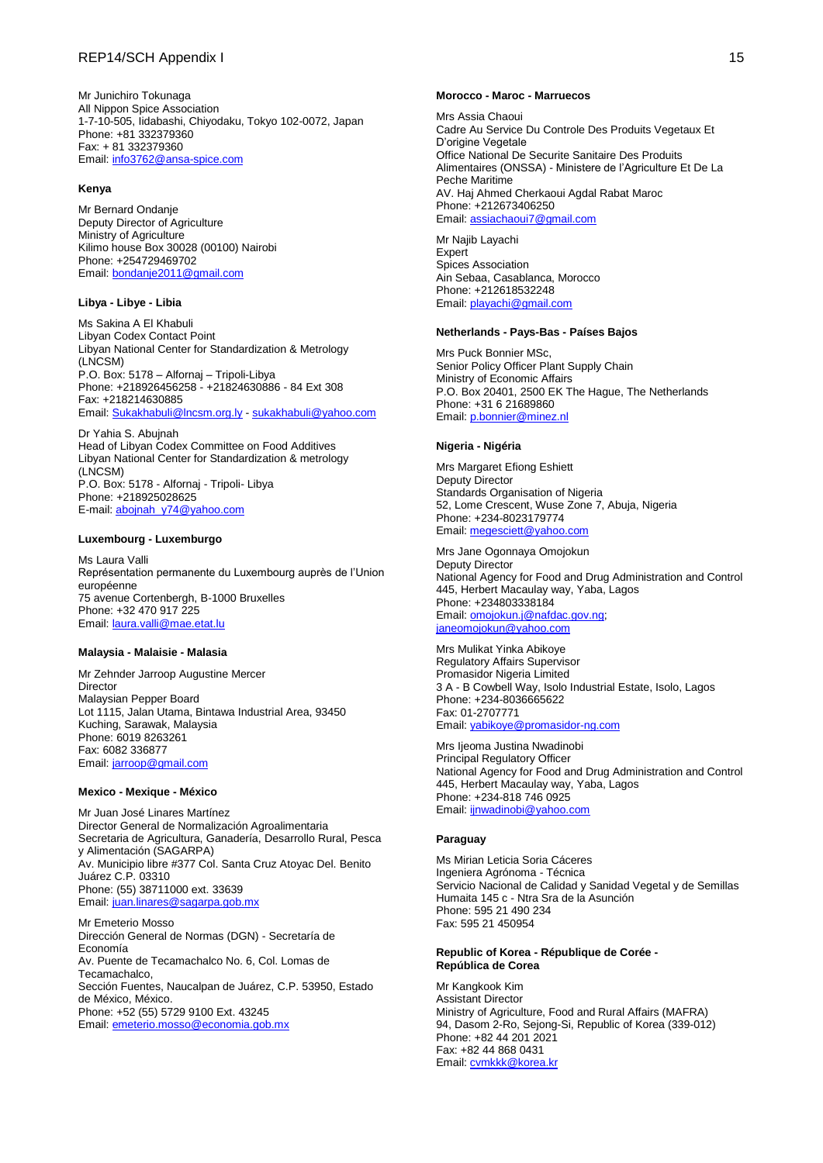Mr Junichiro Tokunaga All Nippon Spice Association 1-7-10-505, Iidabashi, Chiyodaku, Tokyo 102-0072, Japan Phone: +81 332379360 Fax: + 81 332379360 Email: [info3762@ansa-spice.com](mailto:info3762@ansa-spice.com)

### **Kenya**

Mr Bernard Ondanje Deputy Director of Agriculture Ministry of Agriculture Kilimo house Box 30028 (00100) Nairobi Phone: +254729469702 Email: [bondanje2011@gmail.com](mailto:bondanje2011@gmail.com)

### **Libya - Libye - Libia**

Ms Sakina A El Khabuli Libyan Codex Contact Point Libyan National Center for Standardization & Metrology (LNCSM) P.O. Box: 5178 – Alfornaj – Tripoli-Libya Phone: +218926456258 - +21824630886 - 84 Ext 308 Fax: +218214630885 Email: [Sukakhabuli@lncsm.org.ly](mailto:Sukakhabuli@lncsm.org.ly) - [sukakhabuli@yahoo.com](mailto:sukakhabuli@yahoo.com)

Dr Yahia S. Abujnah Head of Libyan Codex Committee on Food Additives Libyan National Center for Standardization & metrology (LNCSM) P.O. Box: 5178 - Alfornaj - Tripoli- Libya Phone: +218925028625 E-mail: [abojnah\\_y74@yahoo.com](mailto:abojnah_y74@yahoo.com)

#### **Luxembourg - Luxemburgo**

Ms Laura Valli Représentation permanente du Luxembourg auprès de l'Union européenne 75 avenue Cortenbergh, B-1000 Bruxelles Phone: +32 470 917 225 Email: [laura.valli@mae.etat.lu](mailto:laura.valli@mae.etat.lu)

#### **Malaysia - Malaisie - Malasia**

Mr Zehnder Jarroop Augustine Mercer Director Malaysian Pepper Board Lot 1115, Jalan Utama, Bintawa Industrial Area, 93450 Kuching, Sarawak, Malaysia Phone: 6019 8263261 Fax: 6082 336877 Email: [jarroop@gmail.com](mailto:jarroop@gmail.com)

### **Mexico - Mexique - México**

Mr Juan José Linares Martínez Director General de Normalización Agroalimentaria Secretaria de Agricultura, Ganadería, Desarrollo Rural, Pesca y Alimentación (SAGARPA) Av. Municipio libre #377 Col. Santa Cruz Atoyac Del. Benito Juárez C.P. 03310 Phone: (55) 38711000 ext. 33639 Email: [juan.linares@sagarpa.gob.mx](mailto:juan.linares@sagarpa.gob.mx)

Mr Emeterio Mosso Dirección General de Normas (DGN) - Secretaría de Economía Av. Puente de Tecamachalco No. 6, Col. Lomas de Tecamachalco, Sección Fuentes, Naucalpan de Juárez, C.P. 53950, Estado de México, México. Phone: +52 (55) 5729 9100 Ext. 43245 Email: [emeterio.mosso@economia.gob.mx](mailto:emeterio.mosso@economia.gob.mx)

#### **Morocco - Maroc - Marruecos**

Mrs Assia Chaoui Cadre Au Service Du Controle Des Produits Vegetaux Et D'origine Vegetale Office National De Securite Sanitaire Des Produits Alimentaires (ONSSA) - Ministere de l'Agriculture Et De La Peche Maritime AV. Haj Ahmed Cherkaoui Agdal Rabat Maroc Phone: +212673406250 Email: [assiachaoui7@gmail.com](mailto:assiachaoui7@gmail.com)

Mr Najib Layachi **Expert** Spices Association Ain Sebaa, Casablanca, Morocco Phone: +212618532248 Email: [playachi@gmail.com](mailto:playachi@gmail.com)

#### **Netherlands - Pays-Bas - Países Bajos**

Mrs Puck Bonnier MSc, Senior Policy Officer Plant Supply Chain Ministry of Economic Affairs P.O. Box 20401, 2500 EK The Hague, The Netherlands Phone: +31 6 21689860 Email: [p.bonnier@minez.nl](mailto:p.bonnier@minez.nl)

### **Nigeria - Nigéria**

Mrs Margaret Efiong Eshiett Deputy Director Standards Organisation of Nigeria 52, Lome Crescent, Wuse Zone 7, Abuja, Nigeria Phone: +234-8023179774 Email: [megesciett@yahoo.com](mailto:megesciett@yahoo.com)

Mrs Jane Ogonnaya Omojokun Deputy Director National Agency for Food and Drug Administration and Control 445, Herbert Macaulay way, Yaba, Lagos Phone: +234803338184 Email: **omojokun.j@nafdac.gov.ng**; [janeomojokun@yahoo.com](mailto:janeomojokun@yahoo.com)

Mrs Mulikat Yinka Abikoye Regulatory Affairs Supervisor Promasidor Nigeria Limited 3 A - B Cowbell Way, Isolo Industrial Estate, Isolo, Lagos Phone: +234-8036665622 Fax: 01-2707771 Email: [yabikoye@promasidor-ng.com](mailto:yabikoye@promasidor-ng.com)

Mrs Ijeoma Justina Nwadinobi Principal Regulatory Officer National Agency for Food and Drug Administration and Control 445, Herbert Macaulay way, Yaba, Lagos Phone: +234-818 746 0925 Email: [ijnwadinobi@yahoo.com](mailto:ijnwadinobi@yahoo.com)

### **Paraguay**

Ms Mirian Leticia Soria Cáceres Ingeniera Agrónoma - Técnica Servicio Nacional de Calidad y Sanidad Vegetal y de Semillas Humaita 145 c - Ntra Sra de la Asunción Phone: 595 21 490 234 Fax: 595 21 450954

#### **Republic of Korea - [République de Corée](http://www.codexalimentarius.org/membres-et-observateurs/membres/detail/fr/c/15663/) - [República de Corea](http://www.codexalimentarius.org/miembros-y-observadores/miembros/detail/es/c/15663/)**

Mr Kangkook Kim Assistant Director Ministry of Agriculture, Food and Rural Affairs (MAFRA) 94, Dasom 2-Ro, Sejong-Si, Republic of Korea (339-012) Phone: +82 44 201 2021 Fax: +82 44 868 0431 Email: [cvmkkk@korea.kr](mailto:cvmkkk@korea.kr)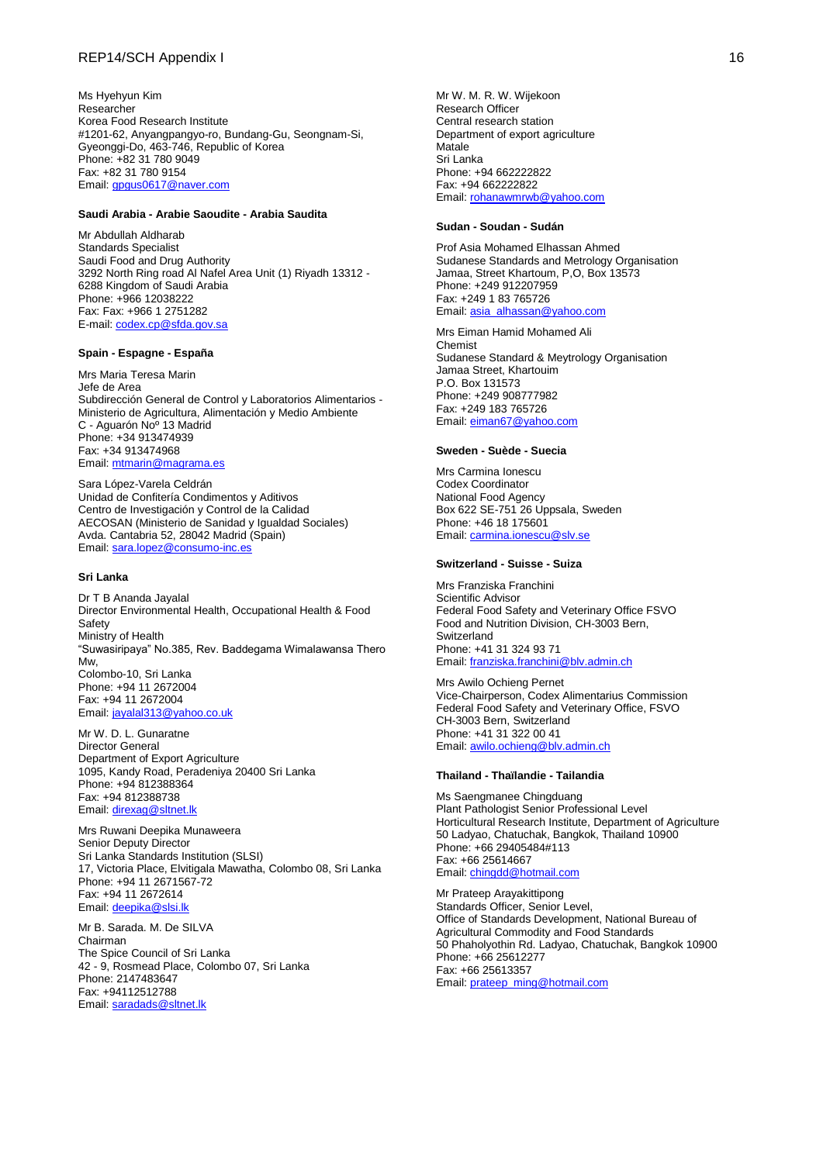### REP14/SCH Appendix I 16

Ms Hyehyun Kim Researcher Korea Food Research Institute #1201-62, Anyangpangyo-ro, Bundang-Gu, Seongnam-Si, Gyeonggi-Do, 463-746, Republic of Korea Phone: +82 31 780 9049 Fax: +82 31 780 9154 Email: [gpgus0617@naver.com](mailto:gpgus0617@naver.com)

### **Saudi Arabia - Arabie Saoudite - Arabia Saudita**

Mr Abdullah Aldharab Standards Specialist Saudi Food and Drug Authority 3292 North Ring road Al Nafel Area Unit (1) Riyadh 13312 - 6288 Kingdom of Saudi Arabia Phone: +966 12038222 Fax: Fax: +966 1 2751282 E-mail: [codex.cp@sfda.gov.sa](mailto:codex.cp@sfda.gov.sa)

### **Spain - Espagne - España**

Mrs Maria Teresa Marin Jefe de Area Subdirección General de Control y Laboratorios Alimentarios - Ministerio de Agricultura, Alimentación y Medio Ambiente C - Aguarón Noº 13 Madrid Phone: +34 913474939 Fax: +34 913474968 Email: [mtmarin@magrama.es](mailto:mtmarin@magrama.es)

Sara López-Varela Celdrán Unidad de Confitería Condimentos y Aditivos Centro de Investigación y Control de la Calidad AECOSAN [\(Ministerio de Sanidad y Igualdad S](http://www.msssi.gob.es/gabinete/notasPrensa.do?id=3167)ociales) Avda. Cantabria 52, 28042 Madrid (Spain) Email: [sara.lopez@consumo-inc.es](mailto:sara.lopez@consumo-inc.es)

#### **Sri Lanka**

Dr T B Ananda Jayalal Director Environmental Health, Occupational Health & Food **Safety** Ministry of Health "Suwasiripaya" No.385, Rev. Baddegama Wimalawansa Thero Mw, Colombo-10, Sri Lanka Phone: +94 11 2672004 Fax: +94 11 2672004 Email: [jayalal313@yahoo.co.uk](mailto:jayalal313@yahoo.co.uk)

Mr W. D. L. Gunaratne Director General Department of Export Agriculture 1095, Kandy Road, Peradeniya 20400 Sri Lanka Phone: +94 812388364 Fax: +94 812388738 Email: [direxag@sltnet.lk](mailto:direxag@sltnet.lk)

Mrs Ruwani Deepika Munaweera Senior Deputy Director Sri Lanka Standards Institution (SLSI) 17, Victoria Place, Elvitigala Mawatha, Colombo 08, Sri Lanka Phone: +94 11 2671567-72 Fax: +94 11 2672614 Email: [deepika@slsi.lk](mailto:deepika@slsi.lk)

Mr B. Sarada. M. De SILVA Chairman The Spice Council of Sri Lanka 42 - 9, Rosmead Place, Colombo 07, Sri Lanka Phone: 2147483647 Fax: +94112512788 Email: [saradads@sltnet.lk](mailto:saradads@sltnet.lk)

Mr W. M. R. W. Wijekoon Research Officer Central research station Department of export agriculture Matale Sri Lanka Phone: +94 662222822 Fax: +94 662222822 Email: [rohanawmrwb@yahoo.com](mailto:rohanawmrwb@yahoo.com)

### **Sudan - Soudan - Sudán**

Prof Asia Mohamed Elhassan Ahmed Sudanese Standards and Metrology Organisation Jamaa, Street Khartoum, P,O, Box 13573 Phone: +249 912207959 Fax: +249 1 83 765726 Email: [asia\\_alhassan@yahoo.com](mailto:asia_alhassan@yahoo.com)

Mrs Eiman Hamid Mohamed Ali Chemist Sudanese Standard & Meytrology Organisation Jamaa Street, Khartouim P.O. Box 131573 Phone: +249 908777982 Fax: +249 183 765726 Email: [eiman67@yahoo.com](mailto:eiman67@yahoo.com)

### **Sweden - Suède - Suecia**

Mrs Carmina Ionescu Codex Coordinator National Food Agency Box 622 SE-751 26 Uppsala, Sweden Phone: +46 18 175601 Email: [carmina.ionescu@slv.se](mailto:carmina.ionescu@slv.se)

#### **Switzerland - Suisse - Suiza**

Mrs Franziska Franchini Scientific Advisor Federal Food Safety and Veterinary Office FSVO Food and Nutrition Division, CH-3003 Bern, **Switzerland** Phone: +41 31 324 93 71 Email: [franziska.franchini@blv.admin.ch](mailto:franziska.franchini@blv.admin.ch)

Mrs Awilo Ochieng Pernet Vice-Chairperson, Codex Alimentarius Commission Federal Food Safety and Veterinary Office, FSVO CH-3003 Bern, Switzerland Phone: +41 31 322 00 41 Email: [awilo.ochieng@blv.admin.ch](mailto:awilo.ochieng@blv.admin.ch)

#### **Thailand - Thaïlandie - Tailandia**

Ms Saengmanee Chingduang Plant Pathologist Senior Professional Level Horticultural Research Institute, Department of Agriculture 50 Ladyao, Chatuchak, Bangkok, Thailand 10900 Phone: +66 29405484#113 Fax: +66 25614667 Email: [chingdd@hotmail.com](mailto:chingdd@hotmail.com)

Mr Prateep Arayakittipong Standards Officer, Senior Level, Office of Standards Development, National Bureau of Agricultural Commodity and Food Standards 50 Phaholyothin Rd. Ladyao, Chatuchak, Bangkok 10900 Phone: +66 25612277 Fax: +66 25613357 Email: [prateep\\_ming@hotmail.com](mailto:prateep_ming@hotmail.com)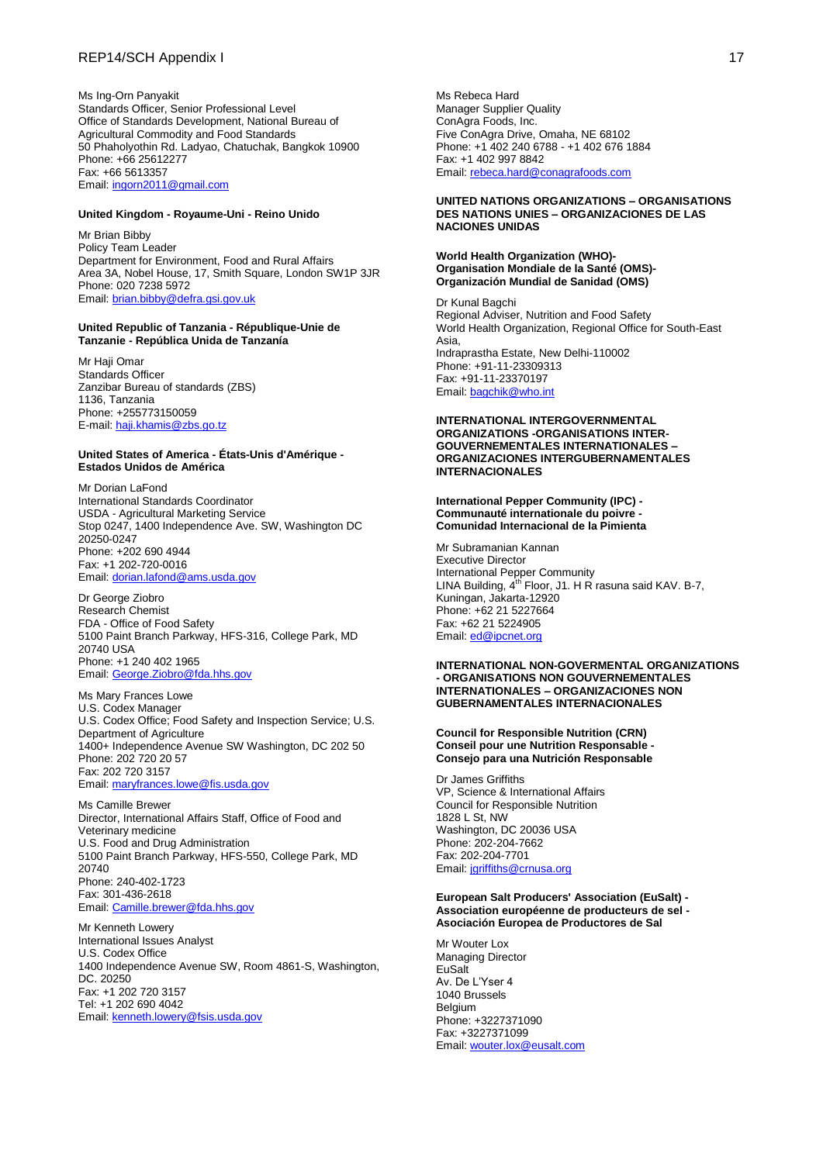### REP14/SCH Appendix I 17

Ms Ing-Orn Panyakit Standards Officer, Senior Professional Level Office of Standards Development, National Bureau of Agricultural Commodity and Food Standards 50 Phaholyothin Rd. Ladyao, Chatuchak, Bangkok 10900 Phone: +66 25612277 Fax: +66 5613357 Email: [ingorn2011@gmail.com](mailto:ingorn2011@gmail.com)

#### **United Kingdom - Royaume-Uni - Reino Unido**

Mr Brian Bibby Policy Team Leader Department for Environment, Food and Rural Affairs Area 3A, Nobel House, 17, Smith Square, London SW1P 3JR Phone: 020 7238 5972 Email: [brian.bibby@defra.gsi.gov.uk](mailto:brian.bibby@defra.gsi.gov.uk)

### **United Republic of Tanzania - République-Unie de Tanzanie - República Unida de Tanzanía**

Mr Haii Omar Standards Officer Zanzibar Bureau of standards (ZBS) 1136, Tanzania Phone: +255773150059 E-mail: [haji.khamis@zbs.go.tz](http://mail.iniservers.com/src/compose.php?send_to=haji.khamis%40zbs.go.tz)

### **United States of America - États-Unis d'Amérique - Estados Unidos de América**

Mr Dorian LaFond International Standards Coordinator USDA - Agricultural Marketing Service Stop 0247, 1400 Independence Ave. SW, Washington DC 20250-0247 Phone: +202 690 4944 Fax: +1 202-720-0016 Email: [dorian.lafond@ams.usda.gov](mailto:dorian.lafond@ams.usda.gov)

Dr George Ziobro Research Chemist FDA - Office of Food Safety 5100 Paint Branch Parkway, HFS-316, College Park, MD 20740 USA Phone: +1 240 402 1965 Email: [George.Ziobro@fda.hhs.gov](mailto:George.Ziobro@fda.hhs.gov)

Ms Mary Frances Lowe U.S. Codex Manager U.S. Codex Office; Food Safety and Inspection Service; U.S. Department of Agriculture 1400+ Independence Avenue SW Washington, DC 202 50 Phone: 202 720 20 57 Fax: 202 720 3157 Email: [maryfrances.lowe@fis.usda.gov](mailto:maryfrances.lowe@fis.usda.gov)

Ms Camille Brewer Director, International Affairs Staff, Office of Food and Veterinary medicine U.S. Food and Drug Administration 5100 Paint Branch Parkway, HFS-550, College Park, MD 20740 Phone: 240-402-1723 Fax: 301-436-2618 Email: [Camille.brewer@fda.hhs.gov](mailto:Camille.brewer@fda.hhs.gov)

Mr Kenneth Lowery International Issues Analyst U.S. Codex Office 1400 Independence Avenue SW, Room 4861-S, Washington, DC. 20250 Fax: +1 202 720 3157 Tel: +1 202 690 4042 Email: [kenneth.lowery@fsis.usda.gov](mailto:kenneth.lowery@fsis.usda.gov)

Ms Rebeca Hard Manager Supplier Quality ConAgra Foods, Inc. Five ConAgra Drive, Omaha, NE 68102 Phone: +1 402 240 6788 - +1 402 676 1884 Fax: +1 402 997 8842 Email: [rebeca.hard@conagrafoods.com](mailto:rebeca.hard@conagrafoods.com)

### **UNITED NATIONS ORGANIZATIONS – ORGANISATIONS DES NATIONS UNIES – ORGANIZACIONES DE LAS NACIONES UNIDAS**

### **World Health Organization (WHO)- Organisation Mondiale de la Santé (OMS)- Organización Mundial de Sanidad (OMS)**

Dr Kunal Bagchi Regional Adviser, Nutrition and Food Safety World Health Organization, Regional Office for South-East Asia, Indraprastha Estate, New Delhi-110002 Phone: +91-11-23309313 Fax: +91-11-23370197 Email: [bagchik@who.int](mailto:bagchik@who.int)

### **INTERNATIONAL INTERGOVERNMENTAL ORGANIZATIONS -ORGANISATIONS INTER-GOUVERNEMENTALES INTERNATIONALES – ORGANIZACIONES INTERGUBERNAMENTALES INTERNACIONALES**

#### **International Pepper Community (IPC) - Communauté internationale du poivre - Comunidad Internacional de la Pimienta**

Mr Subramanian Kannan Executive Director International Pepper Community LINA Building,  $4<sup>th</sup>$  Floor, J1. H R rasuna said KAV. B-7, Kuningan, Jakarta-12920 Phone: +62 21 5227664 Fax: +62 21 5224905 Email: [ed@ipcnet.org](mailto:ed@ipcnet.org)

### **INTERNATIONAL NON-GOVERMENTAL ORGANIZATIONS - ORGANISATIONS NON GOUVERNEMENTALES INTERNATIONALES – ORGANIZACIONES NON GUBERNAMENTALES INTERNACIONALES**

### **Council for Responsible Nutrition (CRN) Conseil pour une Nutrition Responsable - Consejo para una Nutrición Responsable**

Dr James Griffiths VP, Science & International Affairs Council for Responsible Nutrition 1828 L St, NW Washington, DC 20036 USA Phone: 202-204-7662 Fax: 202-204-7701 Email: [jgriffiths@crnusa.org](mailto:jgriffiths@crnusa.org)

### **European Salt Producers' Association (EuSalt) - Association européenne de producteurs de sel - Asociación Europea de Productores de Sal**

Mr Wouter Lox Managing Director EuSalt Av. De L'Yser 4 1040 Brussels Belgium Phone: +3227371090 Fax: +3227371099 Email: [wouter.lox@eusalt.com](mailto:wouter.lox@eusalt.com)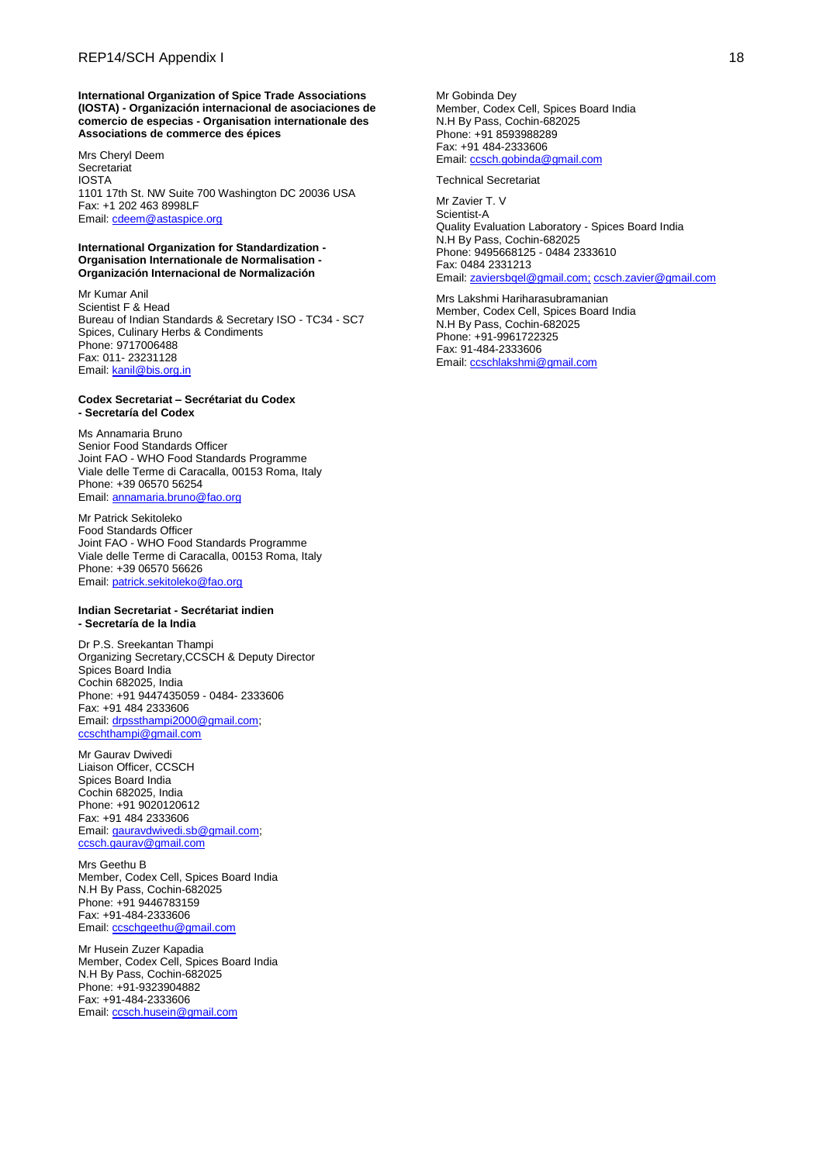**International Organization of Spice Trade Associations (IOSTA) - Organización internacional de asociaciones de comercio de especias - Organisation internationale des Associations de commerce des épices**

Mrs Cheryl Deem **Secretariat** IOSTA 1101 17th St. NW Suite 700 Washington DC 20036 USA Fax: +1 202 463 8998LF Email: [cdeem@astaspice.org](mailto:cdeem@astaspice.org)

### **International Organization for Standardization - Organisation Internationale de Normalisation - Organización Internacional de Normalización**

Mr Kumar Anil Scientist F & Head Bureau of Indian Standards & Secretary ISO - TC34 - SC7 Spices, Culinary Herbs & Condiments Phone: 9717006488 Fax: 011- 23231128 Email: [kanil@bis.org.in](mailto:kanil@bis.org.in)

### **Codex Secretariat – Secrétariat du Codex - Secretaría del Codex**

Ms Annamaria Bruno Senior Food Standards Officer Joint FAO - WHO Food Standards Programme Viale delle Terme di Caracalla, 00153 Roma, Italy Phone: +39 06570 56254 Email: [annamaria.bruno@fao.org](mailto:annamaria.bruno@fao.org)

Mr Patrick Sekitoleko Food Standards Officer Joint FAO - WHO Food Standards Programme Viale delle Terme di Caracalla, 00153 Roma, Italy Phone: +39 06570 56626 Email: [patrick.sekitoleko@fao.org](mailto:patrick.sekitoleko@fao.org)

#### **Indian Secretariat - Secrétariat indien - Secretaría de la India**

Dr P.S. Sreekantan Thampi Organizing Secretary,CCSCH & Deputy Director Spices Board India Cochin 682025, India Phone: +91 9447435059 - 0484- 2333606 Fax: +91 484 2333606 Email: [drpssthampi2000@gmail.com;](mailto:drpssthampi2000@gmail.com) [ccschthampi@gmail.com](mailto:ccschthampi@gmail.com)

Mr Gaurav Dwivedi Liaison Officer, CCSCH Spices Board India Cochin 682025, India Phone: +91 9020120612 Fax: +91 484 2333606 Email: [gauravdwivedi.sb@gmail.com;](mailto:gauravdwivedi.sb@gmail.com)  [ccsch.gaurav@gmail.com](mailto:ccsch.gaurav@gmail.com)

Mrs Geethu B Member, Codex Cell, Spices Board India N.H By Pass, Cochin-682025 Phone: +91 9446783159 Fax: +91-484-2333606 Email: [ccschgeethu@gmail.com](mailto:ccschgeethu@gmail.com)

Mr Husein Zuzer Kapadia Member, Codex Cell, Spices Board India N.H By Pass, Cochin-682025 Phone: +91-9323904882 Fax: +91-484-2333606 Email: [ccsch.husein@gmail.com](mailto:ccsch.husein@gmail.com)

Mr Gobinda Dey Member, Codex Cell, Spices Board India N.H By Pass, Cochin-682025 Phone: +91 8593988289 Fax: +91 484-2333606 Email: [ccsch.gobinda@gmail.com](mailto:ccsch.gobinda@gmail.com)

Technical Secretariat

Mr Zavier T. V Scientist-A Quality Evaluation Laboratory - Spices Board India N.H By Pass, Cochin-682025 Phone: 9495668125 - 0484 2333610 Fax: 0484 2331213 Email: [zaviersbqel@gmail.com;](mailto:zaviersbqel@gmail.com) [ccsch.zavier@gmail.com](mailto:ccsch.zavier@gmail.com)

Mrs Lakshmi Hariharasubramanian Member, Codex Cell, Spices Board India N.H By Pass, Cochin-682025 Phone: +91-9961722325 Fax: 91-484-2333606 Email: [ccschlakshmi@gmail.com](mailto:ccschlakshmi@gmail.com)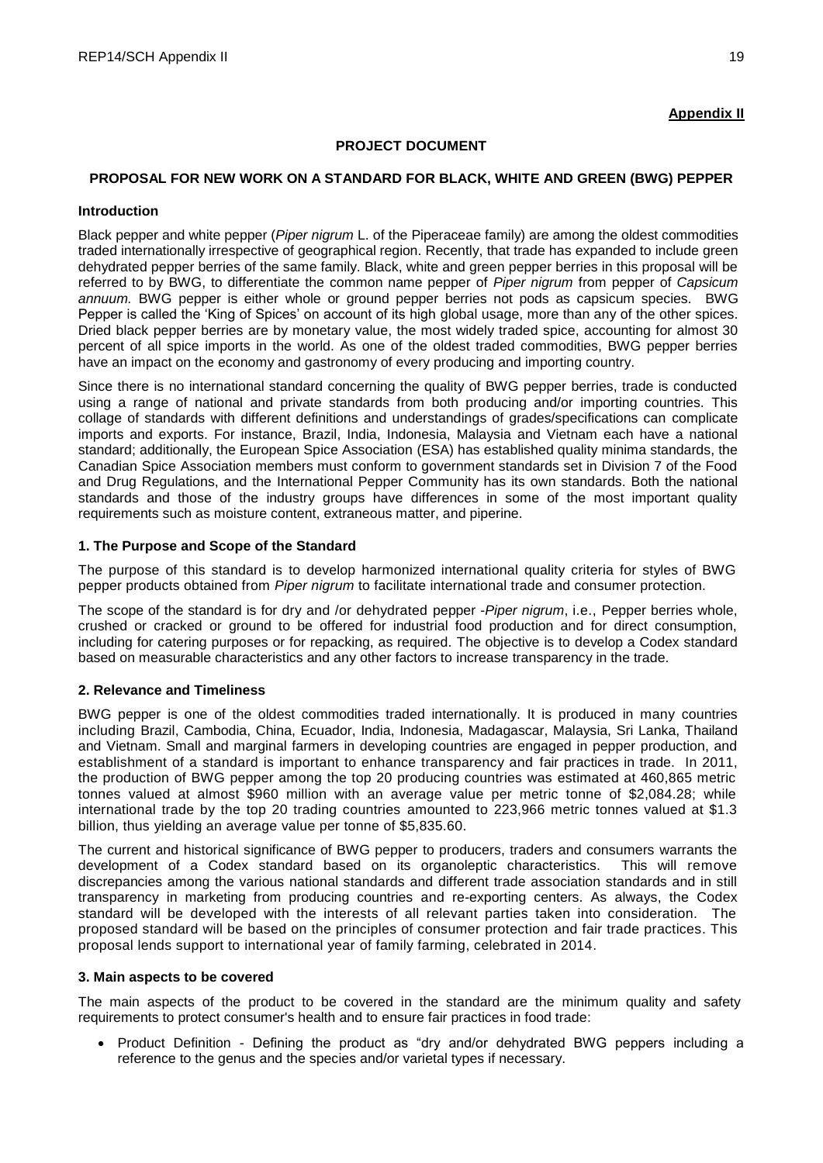## **Appendix II**

## **PROJECT DOCUMENT**

## **PROPOSAL FOR NEW WORK ON A STANDARD FOR BLACK, WHITE AND GREEN (BWG) PEPPER**

### **Introduction**

Black pepper and white pepper (*Piper nigrum* L. of the Piperaceae family) are among the oldest commodities traded internationally irrespective of geographical region. Recently, that trade has expanded to include green dehydrated pepper berries of the same family. Black, white and green pepper berries in this proposal will be referred to by BWG, to differentiate the common name pepper of *Piper nigrum* from pepper of *Capsicum annuum.* BWG pepper is either whole or ground pepper berries not pods as capsicum species. BWG Pepper is called the 'King of Spices' on account of its high global usage, more than any of the other spices. Dried black pepper berries are by monetary value, the most widely traded spice, accounting for almost 30 percent of all spice imports in the world. As one of the oldest traded commodities, BWG pepper berries have an impact on the economy and gastronomy of every producing and importing country.

Since there is no international standard concerning the quality of BWG pepper berries, trade is conducted using a range of national and private standards from both producing and/or importing countries. This collage of standards with different definitions and understandings of grades/specifications can complicate imports and exports. For instance, Brazil, India, Indonesia, Malaysia and Vietnam each have a national standard; additionally, the European Spice Association (ESA) has established quality minima standards, the Canadian Spice Association members must conform to government standards set in Division 7 of the Food and Drug Regulations, and the International Pepper Community has its own standards. Both the national standards and those of the industry groups have differences in some of the most important quality requirements such as moisture content, extraneous matter, and piperine.

## **1. The Purpose and Scope of the Standard**

The purpose of this standard is to develop harmonized international quality criteria for styles of BWG pepper products obtained from *Piper nigrum* to facilitate international trade and consumer protection.

The scope of the standard is for dry and /or dehydrated pepper -*Piper nigrum*, i.e., Pepper berries whole, crushed or cracked or ground to be offered for industrial food production and for direct consumption, including for catering purposes or for repacking, as required. The objective is to develop a Codex standard based on measurable characteristics and any other factors to increase transparency in the trade.

# **2. Relevance and Timeliness**

BWG pepper is one of the oldest commodities traded internationally. It is produced in many countries including Brazil, Cambodia, China, Ecuador, India, Indonesia, Madagascar, Malaysia, Sri Lanka, Thailand and Vietnam. Small and marginal farmers in developing countries are engaged in pepper production, and establishment of a standard is important to enhance transparency and fair practices in trade. In 2011, the production of BWG pepper among the top 20 producing countries was estimated at 460,865 metric tonnes valued at almost \$960 million with an average value per metric tonne of \$2,084.28; while international trade by the top 20 trading countries amounted to 223,966 metric tonnes valued at \$1.3 billion, thus yielding an average value per tonne of \$5,835.60.

The current and historical significance of BWG pepper to producers, traders and consumers warrants the development of a Codex standard based on its organoleptic characteristics. This will remove discrepancies among the various national standards and different trade association standards and in still transparency in marketing from producing countries and re-exporting centers. As always, the Codex standard will be developed with the interests of all relevant parties taken into consideration. The proposed standard will be based on the principles of consumer protection and fair trade practices. This proposal lends support to international year of family farming, celebrated in 2014.

### **3. Main aspects to be covered**

The main aspects of the product to be covered in the standard are the minimum quality and safety requirements to protect consumer's health and to ensure fair practices in food trade:

• Product Definition - Defining the product as "dry and/or dehydrated BWG peppers including a reference to the genus and the species and/or varietal types if necessary.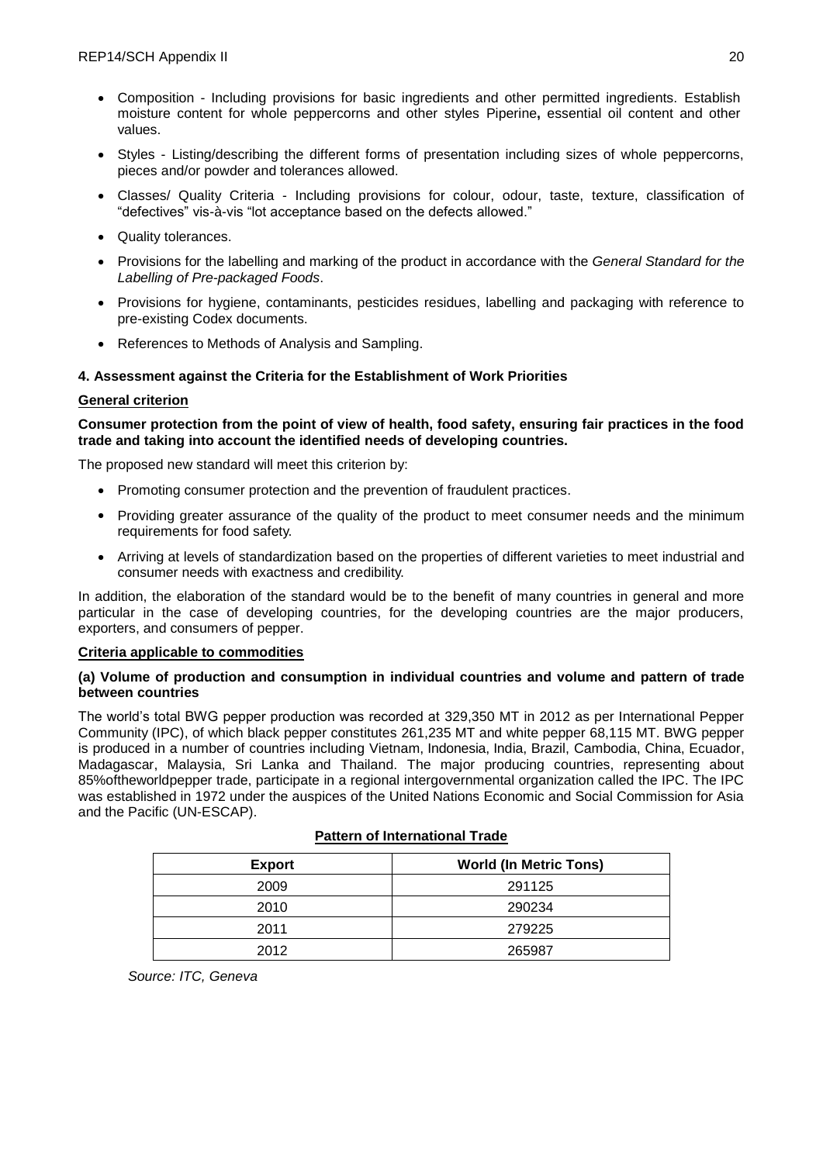- Composition Including provisions for basic ingredients and other permitted ingredients. Establish moisture content for whole peppercorns and other styles Piperine**,** essential oil content and other values.
- Styles Listing/describing the different forms of presentation including sizes of whole peppercorns, pieces and/or powder and tolerances allowed.
- Classes/ Quality Criteria Including provisions for colour, odour, taste, texture, classification of "defectives" vis-à-vis "lot acceptance based on the defects allowed."
- Quality tolerances.
- Provisions for the labelling and marking of the product in accordance with the *General Standard for the Labelling of Pre-packaged Foods*.
- Provisions for hygiene, contaminants, pesticides residues, labelling and packaging with reference to pre-existing Codex documents.
- References to Methods of Analysis and Sampling.

# **4. Assessment against the Criteria for the Establishment of Work Priorities**

## **General criterion**

### **Consumer protection from the point of view of health, food safety, ensuring fair practices in the food trade and taking into account the identified needs of developing countries.**

The proposed new standard will meet this criterion by:

- Promoting consumer protection and the prevention of fraudulent practices.
- Providing greater assurance of the quality of the product to meet consumer needs and the minimum requirements for food safety.
- Arriving at levels of standardization based on the properties of different varieties to meet industrial and consumer needs with exactness and credibility.

In addition, the elaboration of the standard would be to the benefit of many countries in general and more particular in the case of developing countries, for the developing countries are the major producers, exporters, and consumers of pepper.

### **Criteria applicable to commodities**

### **(a) Volume of production and consumption in individual countries and volume and pattern of trade between countries**

The world's total BWG pepper production was recorded at 329,350 MT in 2012 as per International Pepper Community (IPC), of which black pepper constitutes 261,235 MT and white pepper 68,115 MT. BWG pepper is produced in a number of countries including Vietnam, Indonesia, India, Brazil, Cambodia, China, Ecuador, Madagascar, Malaysia, Sri Lanka and Thailand. The major producing countries, representing about 85%oftheworldpepper trade, participate in a regional intergovernmental organization called the IPC. The IPC was established in 1972 under the auspices of the United Nations Economic and Social Commission for Asia and the Pacific (UN-ESCAP).

| <b>World (In Metric Tons)</b> |
|-------------------------------|
| 291125                        |
| 290234                        |
| 279225                        |
| 265987                        |
|                               |

### **Pattern of International Trade**

*Source: ITC, Geneva*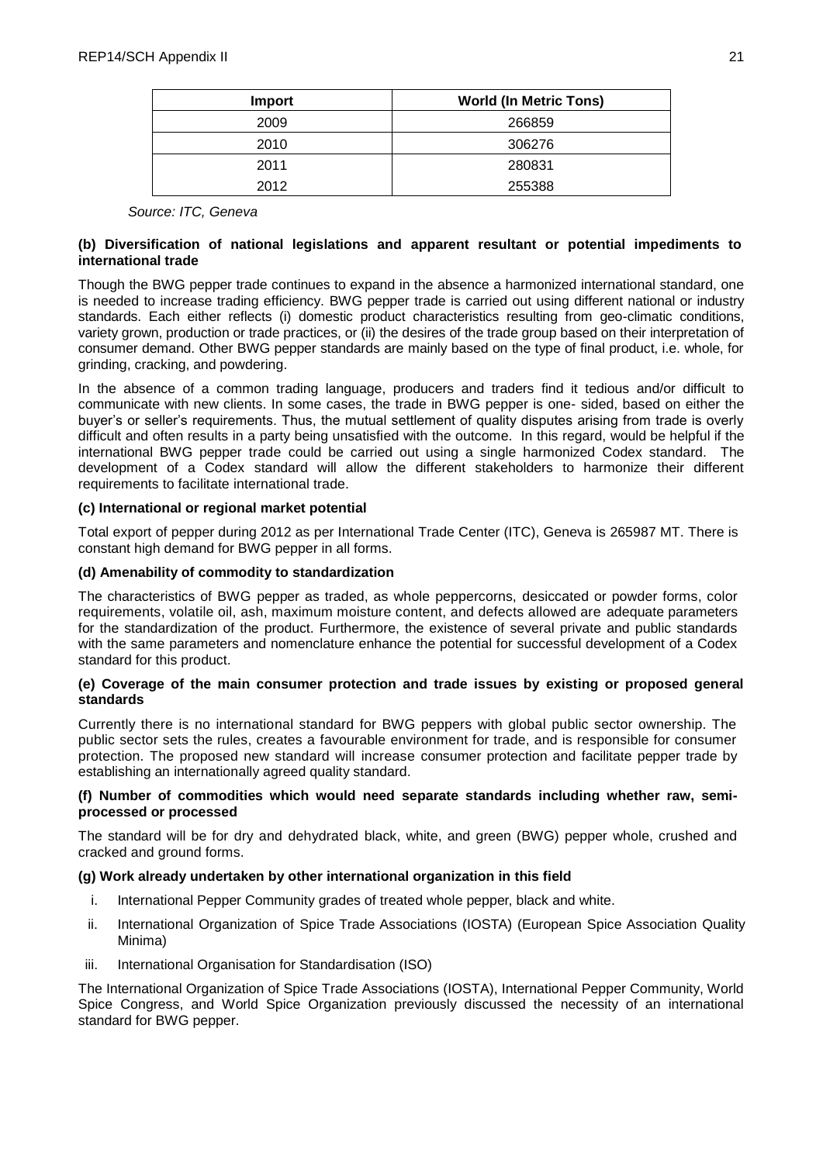| <b>Import</b> | <b>World (In Metric Tons)</b> |  |
|---------------|-------------------------------|--|
| 2009          | 266859                        |  |
| 2010          | 306276                        |  |
| 2011          | 280831                        |  |
| 2012          | 255388                        |  |

*Source: ITC, Geneva* 

## **(b) Diversification of national legislations and apparent resultant or potential impediments to international trade**

Though the BWG pepper trade continues to expand in the absence a harmonized international standard, one is needed to increase trading efficiency. BWG pepper trade is carried out using different national or industry standards. Each either reflects (i) domestic product characteristics resulting from geo-climatic conditions, variety grown, production or trade practices, or (ii) the desires of the trade group based on their interpretation of consumer demand. Other BWG pepper standards are mainly based on the type of final product, i.e. whole, for grinding, cracking, and powdering.

In the absence of a common trading language, producers and traders find it tedious and/or difficult to communicate with new clients. In some cases, the trade in BWG pepper is one- sided, based on either the buyer's or seller's requirements. Thus, the mutual settlement of quality disputes arising from trade is overly difficult and often results in a party being unsatisfied with the outcome. In this regard, would be helpful if the international BWG pepper trade could be carried out using a single harmonized Codex standard. The development of a Codex standard will allow the different stakeholders to harmonize their different requirements to facilitate international trade.

### **(c) International or regional market potential**

Total export of pepper during 2012 as per International Trade Center (ITC), Geneva is 265987 MT. There is constant high demand for BWG pepper in all forms.

## **(d) Amenability of commodity to standardization**

The characteristics of BWG pepper as traded, as whole peppercorns, desiccated or powder forms, color requirements, volatile oil, ash, maximum moisture content, and defects allowed are adequate parameters for the standardization of the product. Furthermore, the existence of several private and public standards with the same parameters and nomenclature enhance the potential for successful development of a Codex standard for this product.

## **(e) Coverage of the main consumer protection and trade issues by existing or proposed general standards**

Currently there is no international standard for BWG peppers with global public sector ownership. The public sector sets the rules, creates a favourable environment for trade, and is responsible for consumer protection. The proposed new standard will increase consumer protection and facilitate pepper trade by establishing an internationally agreed quality standard.

### **(f) Number of commodities which would need separate standards including whether raw, semiprocessed or processed**

The standard will be for dry and dehydrated black, white, and green (BWG) pepper whole, crushed and cracked and ground forms.

### **(g) Work already undertaken by other international organization in this field**

- i. International Pepper Community grades of treated whole pepper, black and white.
- ii. International Organization of Spice Trade Associations (IOSTA) (European Spice Association Quality Minima)
- iii. International Organisation for Standardisation (ISO)

The International Organization of Spice Trade Associations (IOSTA), International Pepper Community, World Spice Congress, and World Spice Organization previously discussed the necessity of an international standard for BWG pepper.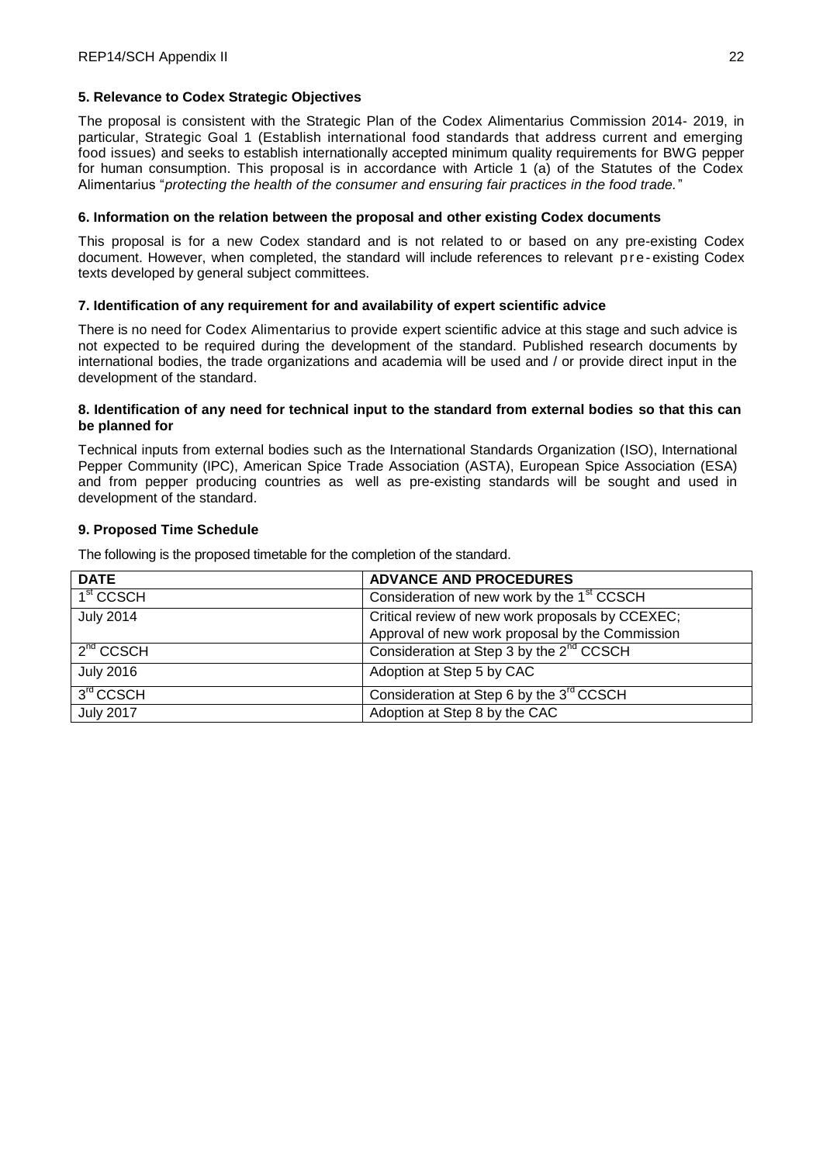### **5. Relevance to Codex Strategic Objectives**

The proposal is consistent with the Strategic Plan of the Codex Alimentarius Commission 2014- 2019, in particular, Strategic Goal 1 (Establish international food standards that address current and emerging food issues) and seeks to establish internationally accepted minimum quality requirements for BWG pepper for human consumption. This proposal is in accordance with Article 1 (a) of the Statutes of the Codex Alimentarius "*protecting the health of the consumer and ensuring fair practices in the food trade.*"

### **6. Information on the relation between the proposal and other existing Codex documents**

This proposal is for a new Codex standard and is not related to or based on any pre-existing Codex document. However, when completed, the standard will include references to relevant p re-existing Codex texts developed by general subject committees.

## **7. Identification of any requirement for and availability of expert scientific advice**

There is no need for Codex Alimentarius to provide expert scientific advice at this stage and such advice is not expected to be required during the development of the standard. Published research documents by international bodies, the trade organizations and academia will be used and / or provide direct input in the development of the standard.

### **8. Identification of any need for technical input to the standard from external bodies so that this can be planned for**

Technical inputs from external bodies such as the International Standards Organization (ISO), International Pepper Community (IPC), American Spice Trade Association (ASTA), European Spice Association (ESA) and from pepper producing countries as well as pre-existing standards will be sought and used in development of the standard.

## **9. Proposed Time Schedule**

The following is the proposed timetable for the completion of the standard.

| <b>DATE</b>           | <b>ADVANCE AND PROCEDURES</b>                          |  |
|-----------------------|--------------------------------------------------------|--|
| 1 <sup>st</sup> CCSCH | Consideration of new work by the 1 <sup>st</sup> CCSCH |  |
| <b>July 2014</b>      | Critical review of new work proposals by CCEXEC;       |  |
|                       | Approval of new work proposal by the Commission        |  |
| $2^{nd}$ CCSCH        | Consideration at Step 3 by the 2 <sup>nd</sup> CCSCH   |  |
| <b>July 2016</b>      | Adoption at Step 5 by CAC                              |  |
| 3rd CCSCH             | Consideration at Step 6 by the 3 <sup>rd</sup> CCSCH   |  |
| <b>July 2017</b>      | Adoption at Step 8 by the CAC                          |  |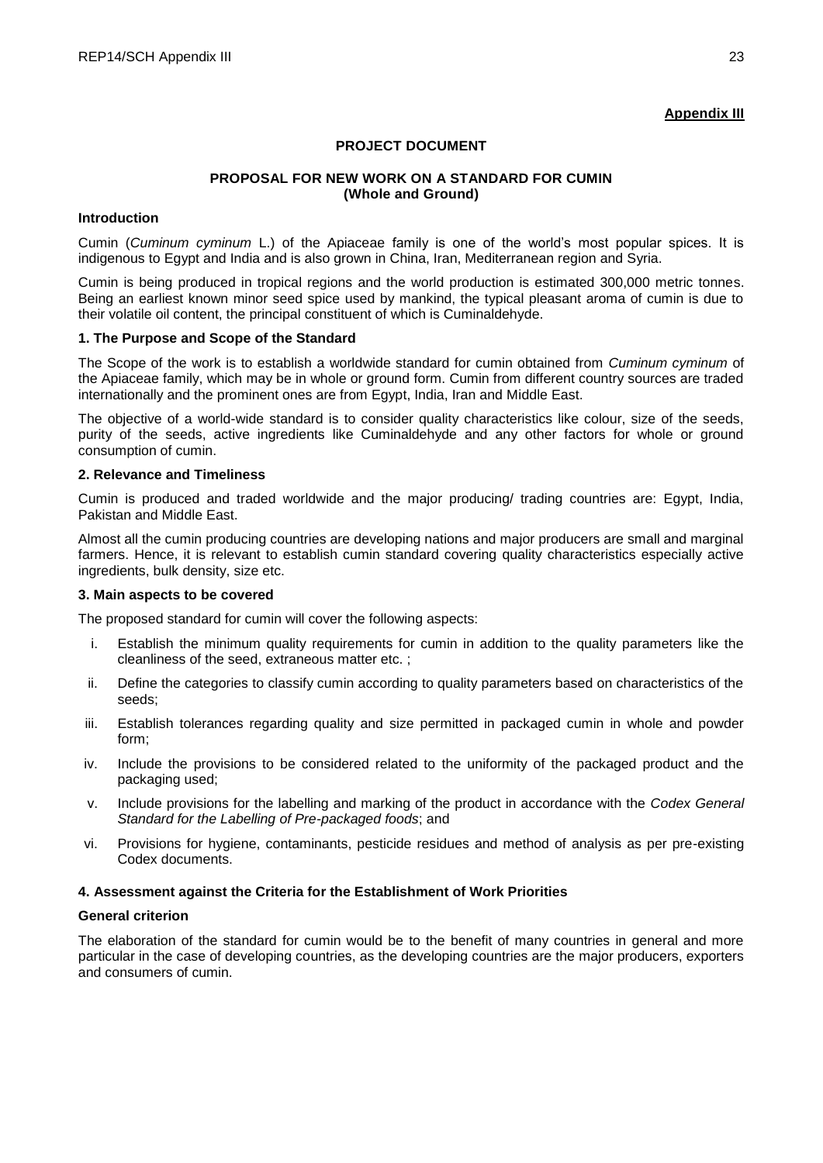# **Appendix III**

## **PROJECT DOCUMENT**

### **PROPOSAL FOR NEW WORK ON A STANDARD FOR CUMIN (Whole and Ground)**

### **Introduction**

Cumin (*Cuminum cyminum* L.) of the Apiaceae family is one of the world's most popular spices. It is indigenous to Egypt and India and is also grown in China, Iran, Mediterranean region and Syria.

Cumin is being produced in tropical regions and the world production is estimated 300,000 metric tonnes. Being an earliest known minor seed spice used by mankind, the typical pleasant aroma of cumin is due to their volatile oil content, the principal constituent of which is Cuminaldehyde.

### **1. The Purpose and Scope of the Standard**

The Scope of the work is to establish a worldwide standard for cumin obtained from *Cuminum cyminum* of the Apiaceae family, which may be in whole or ground form. Cumin from different country sources are traded internationally and the prominent ones are from Egypt, India, Iran and Middle East.

The objective of a world-wide standard is to consider quality characteristics like colour, size of the seeds, purity of the seeds, active ingredients like Cuminaldehyde and any other factors for whole or ground consumption of cumin.

## **2. Relevance and Timeliness**

Cumin is produced and traded worldwide and the major producing/ trading countries are: Egypt, India, Pakistan and Middle East.

Almost all the cumin producing countries are developing nations and major producers are small and marginal farmers. Hence, it is relevant to establish cumin standard covering quality characteristics especially active ingredients, bulk density, size etc.

### **3. Main aspects to be covered**

The proposed standard for cumin will cover the following aspects:

- i. Establish the minimum quality requirements for cumin in addition to the quality parameters like the cleanliness of the seed, extraneous matter etc. ;
- ii. Define the categories to classify cumin according to quality parameters based on characteristics of the seeds;
- iii. Establish tolerances regarding quality and size permitted in packaged cumin in whole and powder form;
- iv. Include the provisions to be considered related to the uniformity of the packaged product and the packaging used;
- v. Include provisions for the labelling and marking of the product in accordance with the *Codex General Standard for the Labelling of Pre-packaged foods*; and
- vi. Provisions for hygiene, contaminants, pesticide residues and method of analysis as per pre-existing Codex documents.

# **4. Assessment against the Criteria for the Establishment of Work Priorities**

### **General criterion**

The elaboration of the standard for cumin would be to the benefit of many countries in general and more particular in the case of developing countries, as the developing countries are the major producers, exporters and consumers of cumin.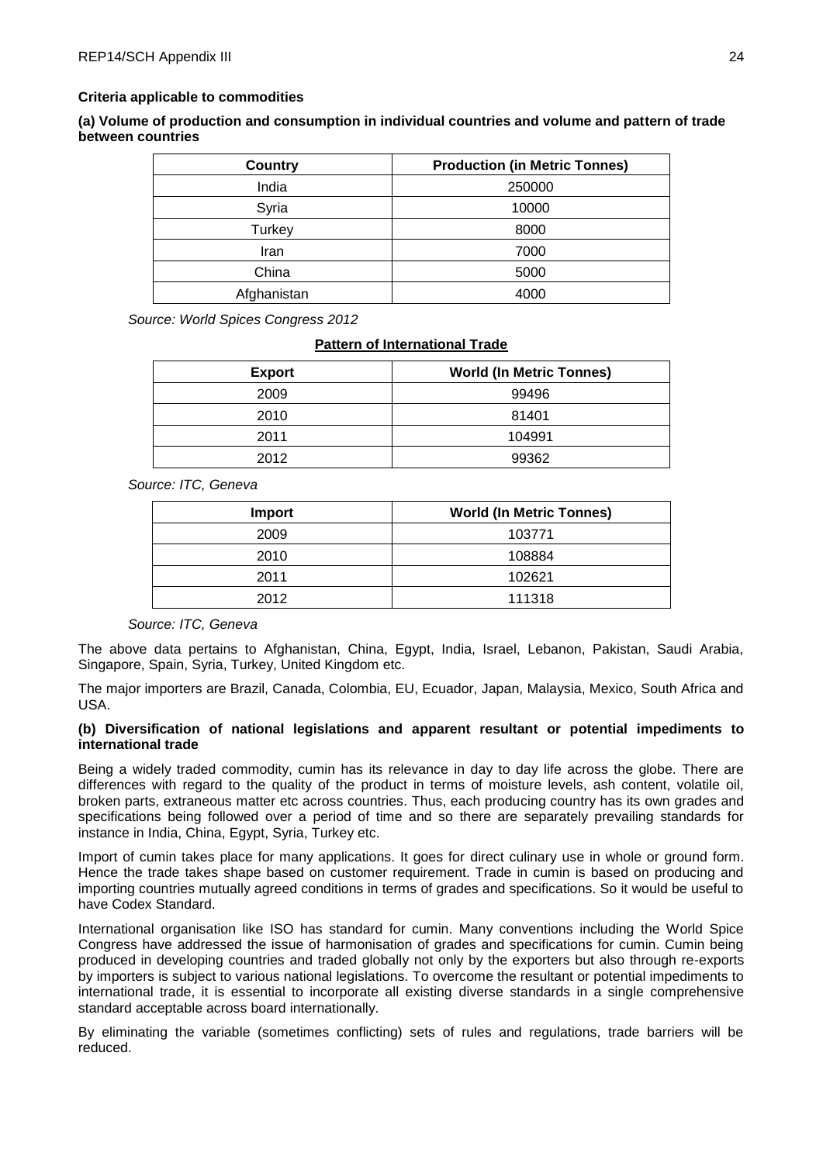### **Criteria applicable to commodities**

**(a) Volume of production and consumption in individual countries and volume and pattern of trade between countries**

| Country     | <b>Production (in Metric Tonnes)</b> |  |
|-------------|--------------------------------------|--|
| India       | 250000                               |  |
| Syria       | 10000                                |  |
| Turkey      | 8000                                 |  |
| Iran        | 7000                                 |  |
| China       | 5000                                 |  |
| Afghanistan | 4000                                 |  |

*Source: World Spices Congress 2012*

### **Pattern of International Trade**

| <b>Export</b> | <b>World (In Metric Tonnes)</b> |
|---------------|---------------------------------|
| 2009          | 99496                           |
| 2010          | 81401                           |
| 2011          | 104991                          |
| 2012          | 99362                           |

*Source: ITC, Geneva*

| <b>Import</b> | <b>World (In Metric Tonnes)</b> |
|---------------|---------------------------------|
| 2009          | 103771                          |
| 2010          | 108884                          |
| 2011          | 102621                          |
| 2012          | 111318                          |

### *Source: ITC, Geneva*

The above data pertains to Afghanistan, China, Egypt, India, Israel, Lebanon, Pakistan, Saudi Arabia, Singapore, Spain, Syria, Turkey, United Kingdom etc.

The major importers are Brazil, Canada, Colombia, EU, Ecuador, Japan, Malaysia, Mexico, South Africa and USA.

### **(b) Diversification of national legislations and apparent resultant or potential impediments to international trade**

Being a widely traded commodity, cumin has its relevance in day to day life across the globe. There are differences with regard to the quality of the product in terms of moisture levels, ash content, volatile oil, broken parts, extraneous matter etc across countries. Thus, each producing country has its own grades and specifications being followed over a period of time and so there are separately prevailing standards for instance in India, China, Egypt, Syria, Turkey etc.

Import of cumin takes place for many applications. It goes for direct culinary use in whole or ground form. Hence the trade takes shape based on customer requirement. Trade in cumin is based on producing and importing countries mutually agreed conditions in terms of grades and specifications. So it would be useful to have Codex Standard.

International organisation like ISO has standard for cumin. Many conventions including the World Spice Congress have addressed the issue of harmonisation of grades and specifications for cumin. Cumin being produced in developing countries and traded globally not only by the exporters but also through re-exports by importers is subject to various national legislations. To overcome the resultant or potential impediments to international trade, it is essential to incorporate all existing diverse standards in a single comprehensive standard acceptable across board internationally.

By eliminating the variable (sometimes conflicting) sets of rules and regulations, trade barriers will be reduced.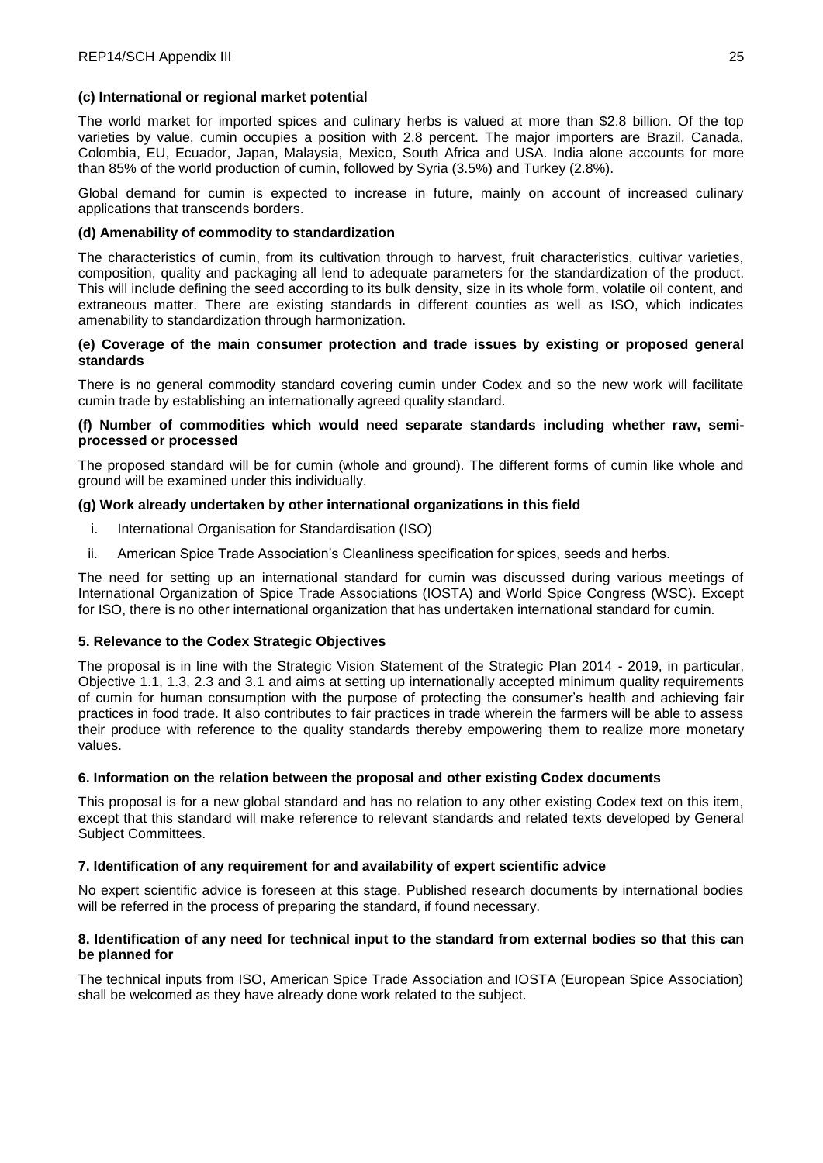## **(c) International or regional market potential**

The world market for imported spices and culinary herbs is valued at more than \$2.8 billion. Of the top varieties by value, cumin occupies a position with 2.8 percent. The major importers are Brazil, Canada, Colombia, EU, Ecuador, Japan, Malaysia, Mexico, South Africa and USA. India alone accounts for more than 85% of the world production of cumin, followed by Syria (3.5%) and Turkey (2.8%).

Global demand for cumin is expected to increase in future, mainly on account of increased culinary applications that transcends borders.

## **(d) Amenability of commodity to standardization**

The characteristics of cumin, from its cultivation through to harvest, fruit characteristics, cultivar varieties, composition, quality and packaging all lend to adequate parameters for the standardization of the product. This will include defining the seed according to its bulk density, size in its whole form, volatile oil content, and extraneous matter. There are existing standards in different counties as well as ISO, which indicates amenability to standardization through harmonization.

### **(e) Coverage of the main consumer protection and trade issues by existing or proposed general standards**

There is no general commodity standard covering cumin under Codex and so the new work will facilitate cumin trade by establishing an internationally agreed quality standard.

### **(f) Number of commodities which would need separate standards including whether raw, semiprocessed or processed**

The proposed standard will be for cumin (whole and ground). The different forms of cumin like whole and ground will be examined under this individually.

## **(g) Work already undertaken by other international organizations in this field**

- i. International Organisation for Standardisation (ISO)
- ii. American Spice Trade Association's Cleanliness specification for spices, seeds and herbs.

The need for setting up an international standard for cumin was discussed during various meetings of International Organization of Spice Trade Associations (IOSTA) and World Spice Congress (WSC). Except for ISO, there is no other international organization that has undertaken international standard for cumin.

# **5. Relevance to the Codex Strategic Objectives**

The proposal is in line with the Strategic Vision Statement of the Strategic Plan 2014 - 2019, in particular, Objective 1.1, 1.3, 2.3 and 3.1 and aims at setting up internationally accepted minimum quality requirements of cumin for human consumption with the purpose of protecting the consumer's health and achieving fair practices in food trade. It also contributes to fair practices in trade wherein the farmers will be able to assess their produce with reference to the quality standards thereby empowering them to realize more monetary values.

### **6. Information on the relation between the proposal and other existing Codex documents**

This proposal is for a new global standard and has no relation to any other existing Codex text on this item, except that this standard will make reference to relevant standards and related texts developed by General Subject Committees.

### **7. Identification of any requirement for and availability of expert scientific advice**

No expert scientific advice is foreseen at this stage. Published research documents by international bodies will be referred in the process of preparing the standard, if found necessary.

## **8. Identification of any need for technical input to the standard from external bodies so that this can be planned for**

The technical inputs from ISO, American Spice Trade Association and IOSTA (European Spice Association) shall be welcomed as they have already done work related to the subject.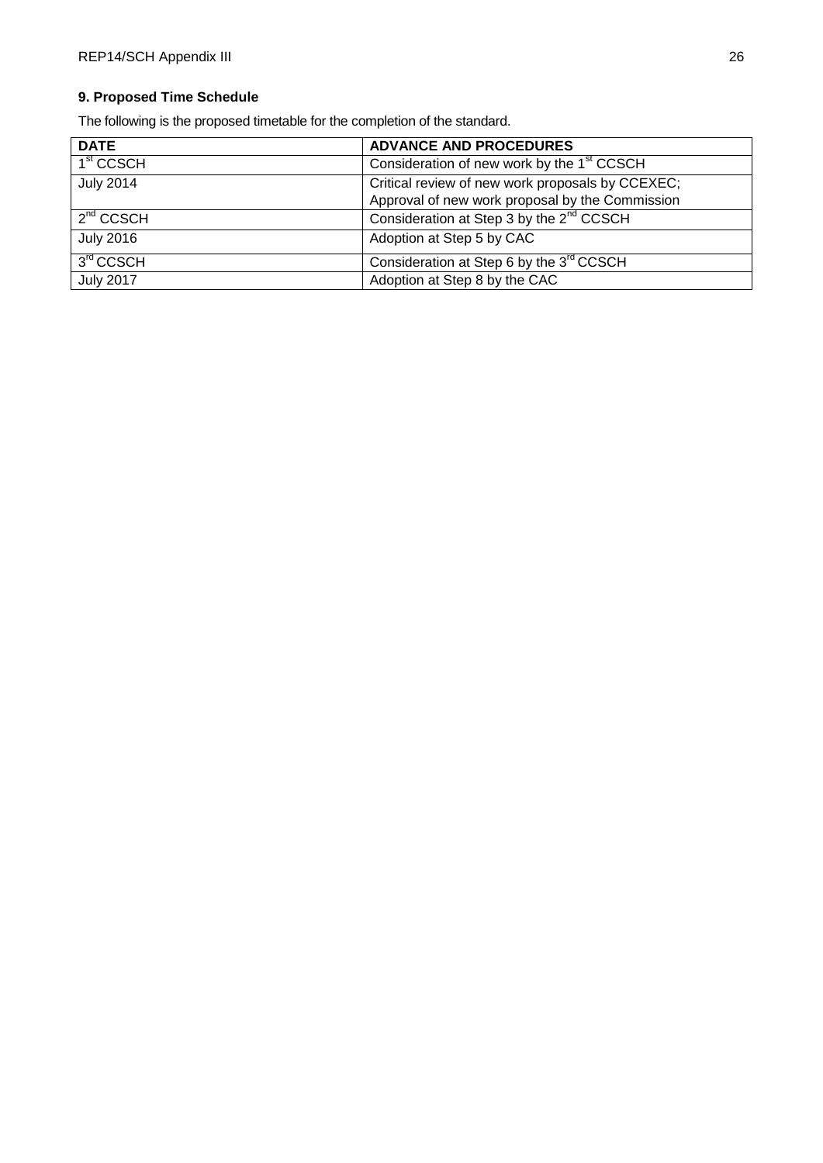# **9. Proposed Time Schedule**

The following is the proposed timetable for the completion of the standard.

| <b>DATE</b>           | <b>ADVANCE AND PROCEDURES</b>                          |  |
|-----------------------|--------------------------------------------------------|--|
| 1 <sup>st</sup> CCSCH | Consideration of new work by the 1 <sup>st</sup> CCSCH |  |
| <b>July 2014</b>      | Critical review of new work proposals by CCEXEC;       |  |
|                       | Approval of new work proposal by the Commission        |  |
| $2^{nd}$ CCSCH        | Consideration at Step 3 by the 2 <sup>nd</sup> CCSCH   |  |
| <b>July 2016</b>      | Adoption at Step 5 by CAC                              |  |
| 3rd CCSCH             | Consideration at Step 6 by the 3 <sup>rd</sup> CCSCH   |  |
| <b>July 2017</b>      | Adoption at Step 8 by the CAC                          |  |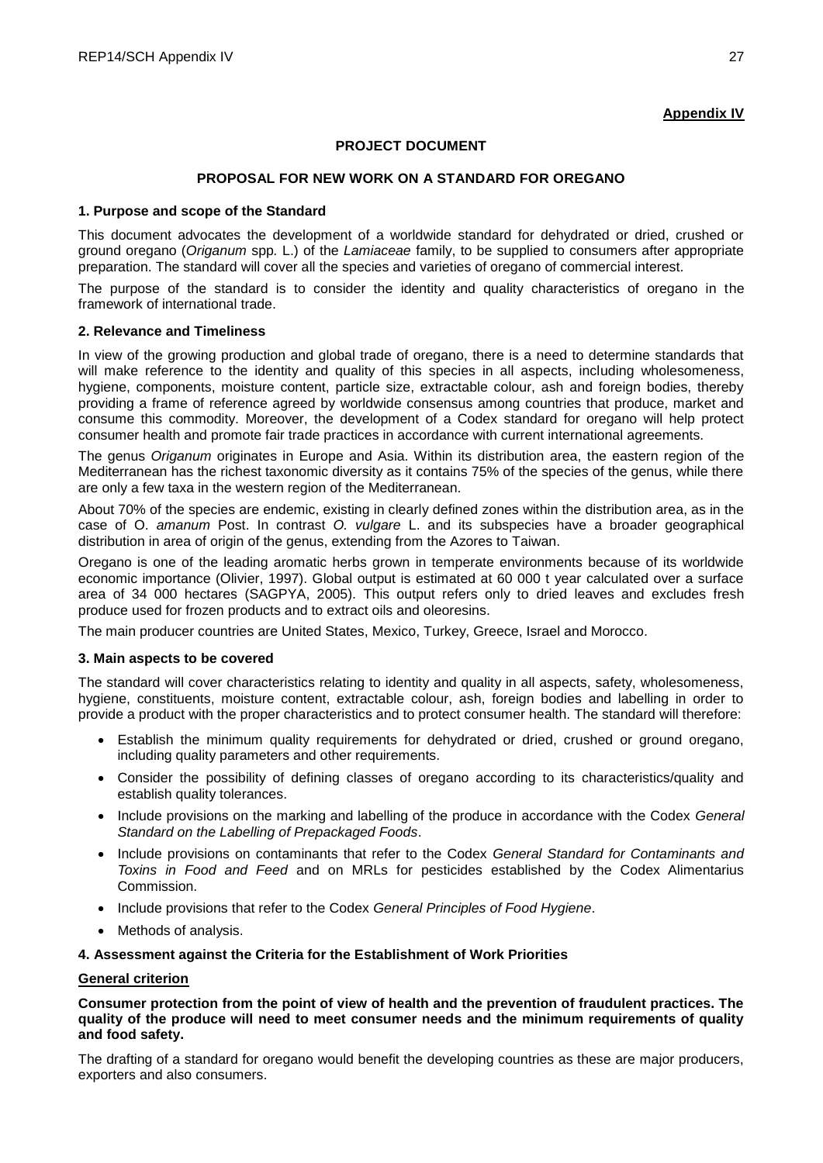# **Appendix IV**

# **PROJECT DOCUMENT**

# **PROPOSAL FOR NEW WORK ON A STANDARD FOR OREGANO**

### **1. Purpose and scope of the Standard**

This document advocates the development of a worldwide standard for dehydrated or dried, crushed or ground oregano (*Origanum* spp*.* L.) of the *Lamiaceae* family, to be supplied to consumers after appropriate preparation. The standard will cover all the species and varieties of oregano of commercial interest.

The purpose of the standard is to consider the identity and quality characteristics of oregano in the framework of international trade.

### **2. Relevance and Timeliness**

In view of the growing production and global trade of oregano, there is a need to determine standards that will make reference to the identity and quality of this species in all aspects, including wholesomeness, hygiene, components, moisture content, particle size, extractable colour, ash and foreign bodies, thereby providing a frame of reference agreed by worldwide consensus among countries that produce, market and consume this commodity. Moreover, the development of a Codex standard for oregano will help protect consumer health and promote fair trade practices in accordance with current international agreements.

The genus *Origanum* originates in Europe and Asia. Within its distribution area, the eastern region of the Mediterranean has the richest taxonomic diversity as it contains 75% of the species of the genus, while there are only a few taxa in the western region of the Mediterranean.

About 70% of the species are endemic, existing in clearly defined zones within the distribution area, as in the case of O. *amanum* Post. In contrast *O. vulgare* L. and its subspecies have a broader geographical distribution in area of origin of the genus, extending from the Azores to Taiwan.

Oregano is one of the leading aromatic herbs grown in temperate environments because of its worldwide economic importance (Olivier, 1997). Global output is estimated at 60 000 t year calculated over a surface area of 34 000 hectares (SAGPYA, 2005). This output refers only to dried leaves and excludes fresh produce used for frozen products and to extract oils and oleoresins.

The main producer countries are United States, Mexico, Turkey, Greece, Israel and Morocco.

### **3. Main aspects to be covered**

The standard will cover characteristics relating to identity and quality in all aspects, safety, wholesomeness, hygiene, constituents, moisture content, extractable colour, ash, foreign bodies and labelling in order to provide a product with the proper characteristics and to protect consumer health. The standard will therefore:

- Establish the minimum quality requirements for dehydrated or dried, crushed or ground oregano, including quality parameters and other requirements.
- Consider the possibility of defining classes of oregano according to its characteristics/quality and establish quality tolerances.
- Include provisions on the marking and labelling of the produce in accordance with the Codex *General Standard on the Labelling of Prepackaged Foods*.
- Include provisions on contaminants that refer to the Codex *General Standard for Contaminants and Toxins in Food and Feed* and on MRLs for pesticides established by the Codex Alimentarius Commission.
- Include provisions that refer to the Codex *General Principles of Food Hygiene*.
- Methods of analysis.

### **4. Assessment against the Criteria for the Establishment of Work Priorities**

### **General criterion**

**Consumer protection from the point of view of health and the prevention of fraudulent practices. The quality of the produce will need to meet consumer needs and the minimum requirements of quality and food safety.**

The drafting of a standard for oregano would benefit the developing countries as these are major producers, exporters and also consumers.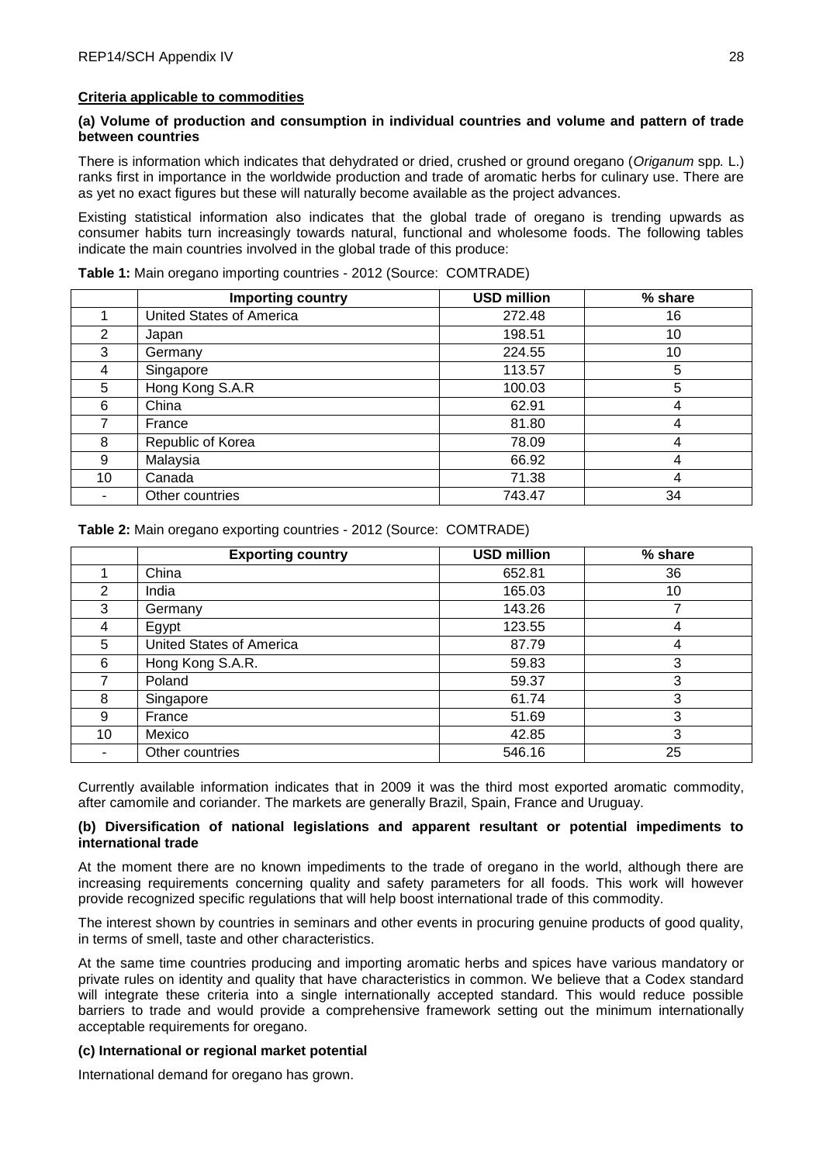### **Criteria applicable to commodities**

## **(a) Volume of production and consumption in individual countries and volume and pattern of trade between countries**

There is information which indicates that dehydrated or dried, crushed or ground oregano (*Origanum* spp*.* L.) ranks first in importance in the worldwide production and trade of aromatic herbs for culinary use. There are as yet no exact figures but these will naturally become available as the project advances.

Existing statistical information also indicates that the global trade of oregano is trending upwards as consumer habits turn increasingly towards natural, functional and wholesome foods. The following tables indicate the main countries involved in the global trade of this produce:

|    | Importing country        | <b>USD million</b> | % share |
|----|--------------------------|--------------------|---------|
|    | United States of America | 272.48             | 16      |
| 2  | Japan                    | 198.51             | 10      |
| 3  | Germany                  | 224.55             | 10      |
| 4  | Singapore                | 113.57             | 5       |
| 5  | Hong Kong S.A.R          | 100.03             | 5       |
| 6  | China                    | 62.91              | 4       |
|    | France                   | 81.80              | 4       |
| 8  | Republic of Korea        | 78.09              | 4       |
| 9  | Malaysia                 | 66.92              | 4       |
| 10 | Canada                   | 71.38              | 4       |
|    | Other countries          | 743.47             | 34      |

**Table 1:** Main oregano importing countries - 2012 (Source: COMTRADE)

**Table 2:** Main oregano exporting countries - 2012 (Source: COMTRADE)

|    | <b>Exporting country</b> | <b>USD million</b> | % share |
|----|--------------------------|--------------------|---------|
|    | China                    | 652.81             | 36      |
| 2  | India                    | 165.03             | 10      |
| 3  | Germany                  | 143.26             |         |
| 4  | Egypt                    | 123.55             | 4       |
| 5  | United States of America | 87.79              | 4       |
| 6  | Hong Kong S.A.R.         | 59.83              | 3       |
|    | Poland                   | 59.37              | 3       |
| 8  | Singapore                | 61.74              | 3       |
| 9  | France                   | 51.69              | 3       |
| 10 | Mexico                   | 42.85              | 3       |
|    | Other countries          | 546.16             | 25      |

Currently available information indicates that in 2009 it was the third most exported aromatic commodity, after camomile and coriander. The markets are generally Brazil, Spain, France and Uruguay.

### **(b) Diversification of national legislations and apparent resultant or potential impediments to international trade**

At the moment there are no known impediments to the trade of oregano in the world, although there are increasing requirements concerning quality and safety parameters for all foods. This work will however provide recognized specific regulations that will help boost international trade of this commodity.

The interest shown by countries in seminars and other events in procuring genuine products of good quality, in terms of smell, taste and other characteristics.

At the same time countries producing and importing aromatic herbs and spices have various mandatory or private rules on identity and quality that have characteristics in common. We believe that a Codex standard will integrate these criteria into a single internationally accepted standard. This would reduce possible barriers to trade and would provide a comprehensive framework setting out the minimum internationally acceptable requirements for oregano.

### **(c) International or regional market potential**

International demand for oregano has grown.